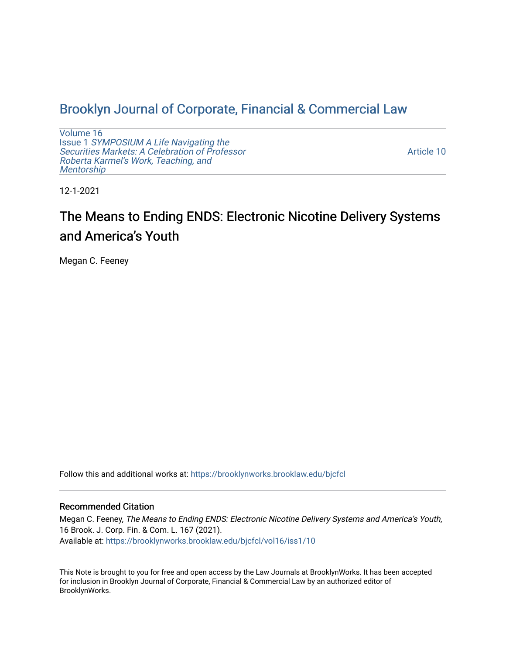# [Brooklyn Journal of Corporate, Financial & Commercial Law](https://brooklynworks.brooklaw.edu/bjcfcl)

[Volume 16](https://brooklynworks.brooklaw.edu/bjcfcl/vol16) Issue 1 [SYMPOSIUM A Life Navigating the](https://brooklynworks.brooklaw.edu/bjcfcl/vol16/iss1) [Securities Markets: A Celebration of Professor](https://brooklynworks.brooklaw.edu/bjcfcl/vol16/iss1) [Roberta Karmel's Work, Teaching, and](https://brooklynworks.brooklaw.edu/bjcfcl/vol16/iss1)  **Mentorship** 

[Article 10](https://brooklynworks.brooklaw.edu/bjcfcl/vol16/iss1/10) 

12-1-2021

# The Means to Ending ENDS: Electronic Nicotine Delivery Systems and America's Youth

Megan C. Feeney

Follow this and additional works at: [https://brooklynworks.brooklaw.edu/bjcfcl](https://brooklynworks.brooklaw.edu/bjcfcl?utm_source=brooklynworks.brooklaw.edu%2Fbjcfcl%2Fvol16%2Fiss1%2F10&utm_medium=PDF&utm_campaign=PDFCoverPages)

# Recommended Citation

Megan C. Feeney, The Means to Ending ENDS: Electronic Nicotine Delivery Systems and America's Youth, 16 Brook. J. Corp. Fin. & Com. L. 167 (2021). Available at: [https://brooklynworks.brooklaw.edu/bjcfcl/vol16/iss1/10](https://brooklynworks.brooklaw.edu/bjcfcl/vol16/iss1/10?utm_source=brooklynworks.brooklaw.edu%2Fbjcfcl%2Fvol16%2Fiss1%2F10&utm_medium=PDF&utm_campaign=PDFCoverPages) 

This Note is brought to you for free and open access by the Law Journals at BrooklynWorks. It has been accepted for inclusion in Brooklyn Journal of Corporate, Financial & Commercial Law by an authorized editor of BrooklynWorks.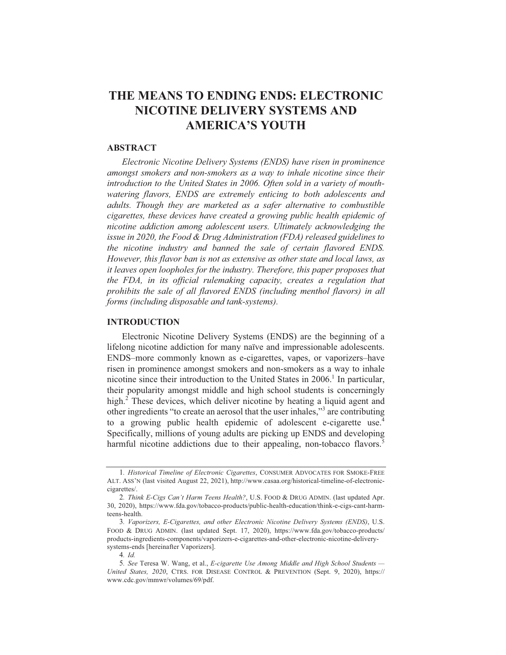# THE MEANS TO ENDING ENDS: ELECTRONIC **NICOTINE DELIVERY SYSTEMS AND AMERICA'S YOUTH**

#### **ABSTRACT**

Electronic Nicotine Delivery Systems (ENDS) have risen in prominence amongst smokers and non-smokers as a way to inhale nicotine since their introduction to the United States in 2006. Often sold in a variety of mouthwatering flavors, ENDS are extremely enticing to both adolescents and adults. Though they are marketed as a safer alternative to combustible cigarettes, these devices have created a growing public health epidemic of nicotine addiction among adolescent users. Ultimately acknowledging the issue in 2020, the Food & Drug Administration (FDA) released guidelines to the nicotine industry and banned the sale of certain flavored ENDS. However, this flavor ban is not as extensive as other state and local laws, as it leaves open loopholes for the industry. Therefore, this paper proposes that the FDA, in its official rulemaking capacity, creates a regulation that prohibits the sale of all flavored ENDS (including menthol flavors) in all forms (including disposable and tank-systems).

#### **INTRODUCTION**

Electronic Nicotine Delivery Systems (ENDS) are the beginning of a lifelong nicotine addiction for many naïve and impressionable adolescents. ENDS-more commonly known as e-cigarettes, vapes, or vaporizers-have risen in prominence amongst smokers and non-smokers as a way to inhale nicotine since their introduction to the United States in 2006.<sup>1</sup> In particular, their popularity amongst middle and high school students is concerningly high.<sup>2</sup> These devices, which deliver nicotine by heating a liquid agent and other ingredients "to create an aerosol that the user inhales,"<sup>3</sup> are contributing to a growing public health epidemic of adolescent e-cigarette use.<sup>4</sup> Specifically, millions of young adults are picking up ENDS and developing harmful nicotine addictions due to their appealing, non-tobacco flavors.<sup>5</sup>

 $4$  *Id* 

<sup>1.</sup> Historical Timeline of Electronic Cigarettes, CONSUMER ADVOCATES FOR SMOKE-FREE ALT. ASS'N (last visited August 22, 2021), http://www.casaa.org/historical-timeline-of-electroniccigarettes/.

<sup>2.</sup> Think E-Cigs Can't Harm Teens Health?, U.S. FOOD & DRUG ADMIN. (last updated Apr. 30, 2020), https://www.fda.gov/tobacco-products/public-health-education/think-e-cigs-cant-harmteens-health

<sup>3.</sup> Vaporizers, E-Cigarettes, and other Electronic Nicotine Delivery Systems (ENDS), U.S. FOOD & DRUG ADMIN. (last updated Sept. 17, 2020), https://www.fda.gov/tobacco-products/ products-ingredients-components/vaporizers-e-cigarettes-and-other-electronic-nicotine-deliverysystems-ends [hereinafter Vaporizers].

<sup>5.</sup> See Teresa W. Wang, et al., E-cigarette Use Among Middle and High School Students -United States, 2020, CTRS. FOR DISEASE CONTROL & PREVENTION (Sept. 9, 2020), https:// www.cdc.gov/mmwr/volumes/69/pdf.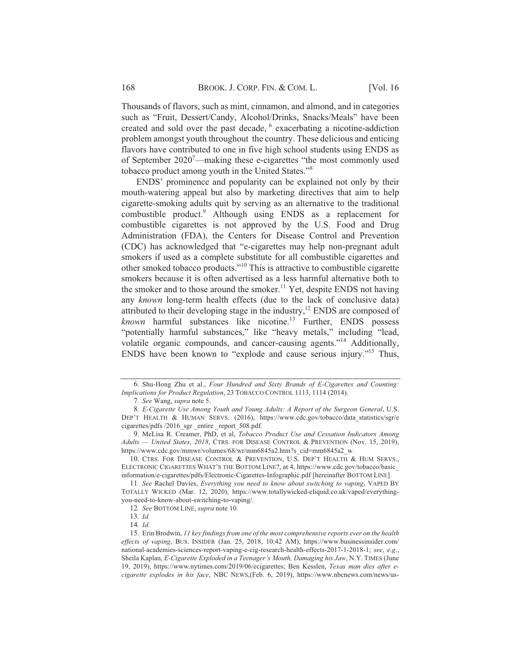Thousands of flavors, such as mint, cinnamon, and almond, and in categories such as "Fruit, Dessert/Candy, Alcohol/Drinks, Snacks/Meals" have been created and sold over the past decade, <sup>6</sup> exacerbating a nicotine-addiction problem amongst youth throughout the country. These delicious and enticing flavors have contributed to one in five high school students using ENDS as of September 2020<sup>7</sup>—making these e-cigarettes "the most commonly used tobacco product among youth in the United States."<sup>8</sup>

ENDS' prominence and popularity can be explained not only by their mouth-watering appeal but also by marketing directives that aim to help cigarette-smoking adults quit by serving as an alternative to the traditional combustible product.<sup>9</sup> Although using ENDS as a replacement for combustible cigarettes is not approved by the U.S. Food and Drug Administration (FDA), the Centers for Disease Control and Prevention (CDC) has acknowledged that "e-cigarettes may help non-pregnant adult smokers if used as a complete substitute for all combustible cigarettes and other smoked tobacco products."<sup>10</sup> This is attractive to combustible cigarette smokers because it is often advertised as a less harmful alternative both to the smoker and to those around the smoker.<sup>11</sup> Yet, despite ENDS not having any known long-term health effects (due to the lack of conclusive data) attributed to their developing stage in the industry,<sup>12</sup> ENDS are composed of known harmful substances like nicotine.<sup>13</sup> Further, ENDS possess "potentially harmful substances," like "heavy metals," including "lead, volatile organic compounds, and cancer-causing agents."<sup>14</sup> Additionally, ENDS have been known to "explode and cause serious injury."<sup>15</sup> Thus,

<sup>6.</sup> Shu-Hong Zhu et al., Four Hundred and Sixty Brands of E-Cigarettes and Counting: Implications for Product Regulation, 23 TOBACCO CONTROL 1113, 1114 (2014).

<sup>7.</sup> See Wang, supra note 5.

<sup>8.</sup> E-Cigarette Use Among Youth and Young Adults: A Report of the Surgeon General, U.S. DEP'T HEALTH & HUMAN SERVS. (2016), https://www.cdc.gov/tobacco/data\_statistics/sgr/e cigarettes/pdfs /2016 sgr entire report 508.pdf.

<sup>9.</sup> MeLisa R. Creamer, PhD, et al, Tobacco Product Use and Cessation Indicators Among Adults — United States, 2018, CTRS. FOR DISEASE CONTROL & PREVENTION (Nov. 15, 2019), https://www.cdc.gov/mmwr/volumes/68/wr/mm6845a2.htm?s cid=mm6845a2 w.

<sup>10.</sup> CTRS. FOR DISEASE CONTROL & PREVENTION, U.S. DEP'T HEALTH & HUM SERVS., ELECTRONIC CIGARETTES WHAT'S THE BOTTOM LINE?, at 4, https://www.cdc.gov/tobacco/basic information/e-cigarettes/pdfs/Electronic-Cigarettes-Infographic.pdf [hereinafter BOTTOM LINE].

<sup>11.</sup> See Rachel Davies, Everything you need to know about switching to vaping, VAPED BY TOTALLY WICKED (Mar. 12, 2020), https://www.totallywicked-eliquid.co.uk/vaped/everythingyou-need-to-know-about-switching-to-vaping/.

<sup>12.</sup> See BOTTOM LINE, supra note 10.

<sup>13.</sup> Id.

<sup>14.</sup>  $Id.$ 

<sup>15.</sup> Erin Brodwin, 11 key findings from one of the most comprehensive reports ever on the health effects of vaping, BUS. INSIDER (Jan. 25, 2018, 10:42 AM), https://www.businessinsider.com/ national-academies-sciences-report-vaping-e-cig-research-health-effects-2017-1-2018-1; see, e.g., Sheila Kaplan, E-Cigarette Exploded in a Teenager's Mouth, Damaging his Jaw, N.Y. TIMES (June 19, 2019), https://www.nytimes.com/2019/06/ecigarettes; Ben Kesslen, Texas man dies after ecigarette explodes in his face, NBC NEWS, (Feb. 6, 2019), https://www.nbcnews.com/news/us-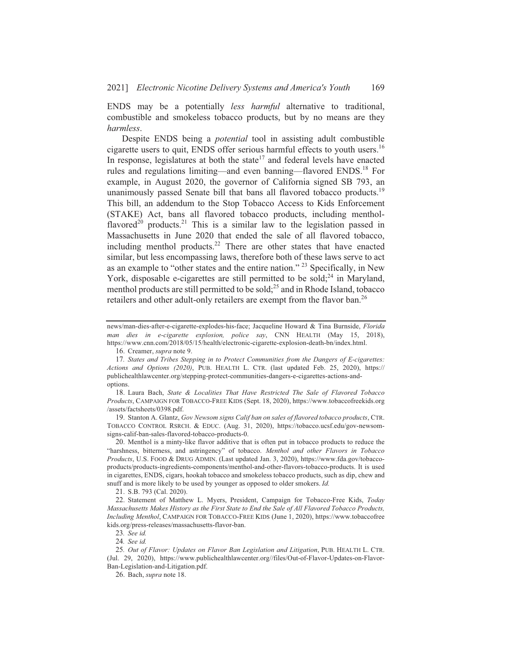ENDS may be a potentially *less harmful* alternative to traditional, combustible and smokeless tobacco products, but by no means are they harmless.

Despite ENDS being a *potential* tool in assisting adult combustible cigarette users to quit, ENDS offer serious harmful effects to youth users.<sup>16</sup> In response, legislatures at both the state<sup>17</sup> and federal levels have enacted rules and regulations limiting—and even banning—flavored ENDS.<sup>18</sup> For example, in August 2020, the governor of California signed SB 793, an unanimously passed Senate bill that bans all flavored tobacco products.<sup>19</sup> This bill, an addendum to the Stop Tobacco Access to Kids Enforcement (STAKE) Act, bans all flavored tobacco products, including mentholflavored<sup>20</sup> products.<sup>21</sup> This is a similar law to the legislation passed in Massachusetts in June 2020 that ended the sale of all flavored tobacco, including menthol products.<sup>22</sup> There are other states that have enacted similar, but less encompassing laws, therefore both of these laws serve to act as an example to "other states and the entire nation." <sup>23</sup> Specifically, in New York, disposable e-cigarettes are still permitted to be sold;<sup>24</sup> in Maryland, menthol products are still permitted to be sold;<sup>25</sup> and in Rhode Island, tobacco retailers and other adult-only retailers are exempt from the flavor ban.<sup>26</sup>

19. Stanton A. Glantz, Gov Newsom signs Calif ban on sales of flavored tobacco products, CTR. TOBACCO CONTROL RSRCH. & EDUC. (Aug. 31, 2020), https://tobacco.ucsf.edu/gov-newsomsigns-calif-ban-sales-flavored-tobacco-products-0.

21. S.B. 793 (Cal. 2020).

22. Statement of Matthew L. Myers, President, Campaign for Tobacco-Free Kids, Today Massachusetts Makes History as the First State to End the Sale of All Flavored Tobacco Products, Including Menthol, CAMPAIGN FOR TOBACCO-FREE KIDS (June 1, 2020), https://www.tobaccofree kids.org/press-releases/massachusetts-flavor-ban.

news/man-dies-after-e-cigarette-explodes-his-face; Jacqueline Howard & Tina Burnside, Florida man dies in e-cigarette explosion, police say, CNN HEALTH (May 15, 2018), https://www.cnn.com/2018/05/15/health/electronic-cigarette-explosion-death-bn/index.html.

<sup>16.</sup> Creamer, supra note 9.

<sup>17.</sup> States and Tribes Stepping in to Protect Communities from the Dangers of E-cigarettes: Actions and Options (2020), PUB. HEALTH L. CTR. (last updated Feb. 25, 2020), https:// publichealthlawcenter.org/stepping-protect-communities-dangers-e-cigarettes-actions-andoptions.

<sup>18.</sup> Laura Bach, State & Localities That Have Restricted The Sale of Flavored Tobacco Products, CAMPAIGN FOR TOBACCO-FREE KIDS (Sept. 18, 2020), https://www.tobaccofreekids.org /assets/factsheets/0398.pdf.

<sup>20.</sup> Menthol is a minty-like flavor additive that is often put in tobacco products to reduce the "harshness, bitterness, and astringency" of tobacco. Menthol and other Flavors in Tobacco Products, U.S. FOOD & DRUG ADMIN. (Last updated Jan. 3, 2020), https://www.fda.gov/tobaccoproducts/products-ingredients-components/menthol-and-other-flavors-tobacco-products. It is used in cigarettes, ENDS, cigars, hookah tobacco and smokeless tobacco products, such as dip, chew and snuff and is more likely to be used by younger as opposed to older smokers. Id.

<sup>23.</sup> See id.

<sup>24.</sup> See id.

<sup>25.</sup> Out of Flavor: Updates on Flavor Ban Legislation and Litigation, PUB. HEALTH L. CTR. (Jul. 29, 2020), https://www.publichealthlawcenter.org//files/Out-of-Flavor-Updates-on-Flavor-Ban-Legislation-and-Litigation.pdf.

<sup>26.</sup> Bach, supra note 18.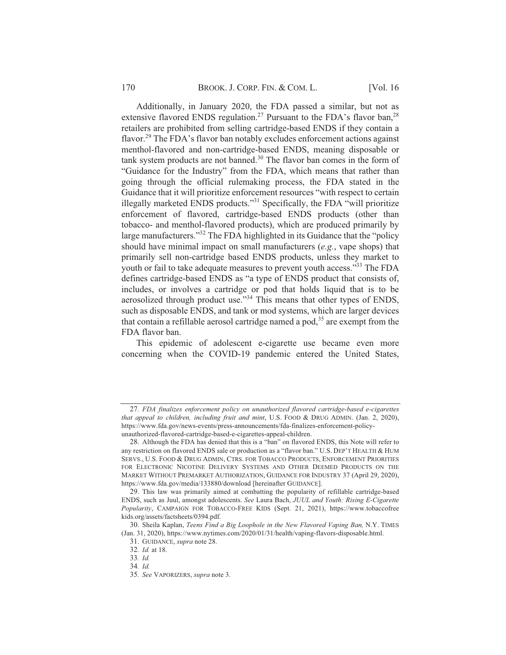Additionally, in January 2020, the FDA passed a similar, but not as extensive flavored ENDS regulation.<sup>27</sup> Pursuant to the FDA's flavor ban,<sup>28</sup> retailers are prohibited from selling cartridge-based ENDS if they contain a flavor.<sup>29</sup> The FDA's flavor ban notably excludes enforcement actions against menthol-flavored and non-cartridge-based ENDS, meaning disposable or tank system products are not banned.<sup>30</sup> The flavor ban comes in the form of "Guidance for the Industry" from the FDA, which means that rather than going through the official rulemaking process, the FDA stated in the Guidance that it will prioritize enforcement resources "with respect to certain illegally marketed ENDS products."<sup>31</sup> Specifically, the FDA "will prioritize enforcement of flavored, cartridge-based ENDS products (other than tobacco- and menthol-flavored products), which are produced primarily by large manufacturers."<sup>32</sup> The FDA highlighted in its Guidance that the "policy should have minimal impact on small manufacturers  $(e.g.,\n$  vape shops) that primarily sell non-cartridge based ENDS products, unless they market to youth or fail to take adequate measures to prevent youth access."<sup>33</sup> The FDA defines cartridge-based ENDS as "a type of ENDS product that consists of, includes, or involves a cartridge or pod that holds liquid that is to be aerosolized through product use."<sup>34</sup> This means that other types of ENDS, such as disposable ENDS, and tank or mod systems, which are larger devices that contain a refillable aerosol cartridge named a pod,<sup>35</sup> are exempt from the FDA flavor ban.

This epidemic of adolescent e-cigarette use became even more concerning when the COVID-19 pandemic entered the United States,

<sup>27.</sup> FDA finalizes enforcement policy on unauthorized flavored cartridge-based e-cigarettes that appeal to children, including fruit and mint, U.S. FOOD & DRUG ADMIN. (Jan. 2, 2020), https://www.fda.gov/news-events/press-announcements/fda-finalizes-enforcement-policyunauthorized-flavored-cartridge-based-e-cigarettes-appeal-children.

<sup>28.</sup> Although the FDA has denied that this is a "ban" on flavored ENDS, this Note will refer to any restriction on flavored ENDS sale or production as a "flavor ban." U.S. DEP'T HEALTH & HUM SERVS., U.S. FOOD & DRUG ADMIN, CTRS. FOR TOBACCO PRODUCTS, ENFORCEMENT PRIORITIES FOR ELECTRONIC NICOTINE DELIVERY SYSTEMS AND OTHER DEEMED PRODUCTS ON THE MARKET WITHOUT PREMARKET AUTHORIZATION, GUIDANCE FOR INDUSTRY 37 (April 29, 2020), https://www.fda.gov/media/133880/download [hereinafter GUIDANCE].

<sup>29.</sup> This law was primarily aimed at combatting the popularity of refillable cartridge-based ENDS, such as Juul, amongst adolescents. See Laura Bach, JUUL and Youth: Rising E-Cigarette Popularity, CAMPAIGN FOR TOBACCO-FREE KIDS (Sept. 21, 2021), https://www.tobaccofree kids.org/assets/factsheets/0394.pdf.

<sup>30.</sup> Sheila Kaplan, Teens Find a Big Loophole in the New Flavored Vaping Ban, N.Y. TIMES (Jan. 31, 2020), https://www.nytimes.com/2020/01/31/health/vaping-flavors-disposable.html.

<sup>31.</sup> GUIDANCE, supra note 28.

<sup>32.</sup> Id. at 18.

 $33. \text{Id.}$ 

<sup>34.</sup> Id.

<sup>35.</sup> See VAPORIZERS, supra note 3.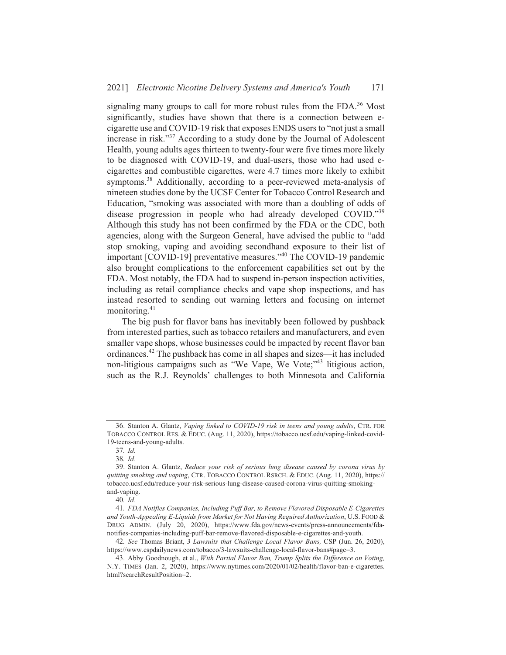signaling many groups to call for more robust rules from the FDA.<sup>36</sup> Most significantly, studies have shown that there is a connection between ecigarette use and COVID-19 risk that exposes ENDS users to "not just a small increase in risk."<sup>37</sup> According to a study done by the Journal of Adolescent Health, young adults ages thirteen to twenty-four were five times more likely to be diagnosed with COVID-19, and dual-users, those who had used ecigarettes and combustible cigarettes, were 4.7 times more likely to exhibit symptoms.<sup>38</sup> Additionally, according to a peer-reviewed meta-analysis of nineteen studies done by the UCSF Center for Tobacco Control Research and Education, "smoking was associated with more than a doubling of odds of disease progression in people who had already developed COVID."39 Although this study has not been confirmed by the FDA or the CDC, both agencies, along with the Surgeon General, have advised the public to "add" stop smoking, vaping and avoiding secondhand exposure to their list of important [COVID-19] preventative measures."<sup>40</sup> The COVID-19 pandemic also brought complications to the enforcement capabilities set out by the FDA. Most notably, the FDA had to suspend in-person inspection activities, including as retail compliance checks and vape shop inspections, and has instead resorted to sending out warning letters and focusing on internet monitoring.<sup>41</sup>

The big push for flavor bans has inevitably been followed by pushback from interested parties, such as tobacco retailers and manufacturers, and even smaller vape shops, whose businesses could be impacted by recent flavor ban ordinances.<sup>42</sup> The pushback has come in all shapes and sizes—it has included non-litigious campaigns such as "We Vape, We Vote;"<sup>43</sup> litigious action, such as the R.J. Reynolds' challenges to both Minnesota and California

<sup>36.</sup> Stanton A. Glantz, Vaping linked to COVID-19 risk in teens and young adults, CTR. FOR TOBACCO CONTROL RES. & EDUC. (Aug. 11, 2020), https://tobacco.ucsf.edu/vaping-linked-covid-19-teens-and-young-adults.

<sup>37.</sup> Id.

<sup>38.</sup> Id.

<sup>39.</sup> Stanton A. Glantz, Reduce your risk of serious lung disease caused by corona virus by quitting smoking and vaping, CTR. TOBACCO CONTROL RSRCH. & EDUC. (Aug. 11, 2020), https:// tobacco.ucsf.edu/reduce-your-risk-serious-lung-disease-caused-corona-virus-quitting-smokingand-vaping.

<sup>40.</sup> Id.

<sup>41.</sup> FDA Notifies Companies, Including Puff Bar, to Remove Flavored Disposable E-Cigarettes and Youth-Appealing E-Liquids from Market for Not Having Required Authorization, U.S. FOOD & DRUG ADMIN. (July 20, 2020), https://www.fda.gov/news-events/press-announcements/fdanotifies-companies-including-puff-bar-remove-flavored-disposable-e-cigarettes-and-youth.

<sup>42.</sup> See Thomas Briant, 3 Lawsuits that Challenge Local Flavor Bans, CSP (Jun. 26, 2020), https://www.cspdailynews.com/tobacco/3-lawsuits-challenge-local-flavor-bans#page=3.

<sup>43.</sup> Abby Goodnough, et al., With Partial Flavor Ban, Trump Splits the Difference on Voting, N.Y. TIMES (Jan. 2, 2020), https://www.nytimes.com/2020/01/02/health/flavor-ban-e-cigarettes. html?searchResultPosition=2.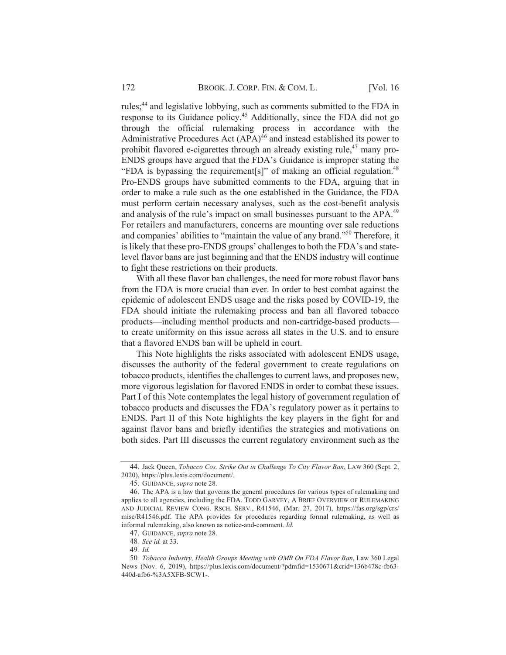rules;<sup>44</sup> and legislative lobbying, such as comments submitted to the FDA in response to its Guidance policy.<sup>45</sup> Additionally, since the FDA did not go through the official rulemaking process in accordance with the Administrative Procedures Act  $(APA)^{46}$  and instead established its power to prohibit flavored e-cigarettes through an already existing rule,<sup>47</sup> many pro-ENDS groups have argued that the FDA's Guidance is improper stating the "FDA is bypassing the requirement[s]" of making an official regulation.<sup>48</sup> Pro-ENDS groups have submitted comments to the FDA, arguing that in order to make a rule such as the one established in the Guidance, the FDA must perform certain necessary analyses, such as the cost-benefit analysis and analysis of the rule's impact on small businesses pursuant to the APA.<sup>49</sup> For retailers and manufacturers, concerns are mounting over sale reductions and companies' abilities to "maintain the value of any brand."<sup>50</sup> Therefore, it is likely that these pro-ENDS groups' challenges to both the FDA's and statelevel flavor bans are just beginning and that the ENDS industry will continue to fight these restrictions on their products.

With all these flavor ban challenges, the need for more robust flavor bans from the FDA is more crucial than ever. In order to best combat against the epidemic of adolescent ENDS usage and the risks posed by COVID-19, the FDA should initiate the rulemaking process and ban all flavored tobacco products—including menthol products and non-cartridge-based products to create uniformity on this issue across all states in the U.S. and to ensure that a flavored ENDS ban will be upheld in court.

This Note highlights the risks associated with adolescent ENDS usage, discusses the authority of the federal government to create regulations on tobacco products, identifies the challenges to current laws, and proposes new, more vigorous legislation for flavored ENDS in order to combat these issues. Part I of this Note contemplates the legal history of government regulation of tobacco products and discusses the FDA's regulatory power as it pertains to ENDS. Part II of this Note highlights the key players in the fight for and against flavor bans and briefly identifies the strategies and motivations on both sides. Part III discusses the current regulatory environment such as the

<sup>44.</sup> Jack Queen, Tobacco Cos. Strike Out in Challenge To City Flavor Ban, LAW 360 (Sept. 2, 2020), https://plus.lexis.com/document/.

<sup>45.</sup> GUIDANCE, *supra* note 28.

<sup>46.</sup> The APA is a law that governs the general procedures for various types of rulemaking and applies to all agencies, including the FDA. TODD GARVEY, A BRIEF OVERVIEW OF RULEMAKING AND JUDICIAL REVIEW CONG. RSCH. SERV., R41546, (Mar. 27, 2017), https://fas.org/sgp/crs/ misc/R41546.pdf. The APA provides for procedures regarding formal rulemaking, as well as informal rulemaking, also known as notice-and-comment. Id.

<sup>47.</sup> GUIDANCE, supra note 28.

<sup>48.</sup> See id. at 33.

<sup>49.</sup> Id.

<sup>50.</sup> Tobacco Industry, Health Groups Meeting with OMB On FDA Flavor Ban, Law 360 Legal News (Nov. 6, 2019), https://plus.lexis.com/document/?pdmfid=1530671&crid=136b478c-fb63-440d-afb6-%3A5XFB-SCW1-.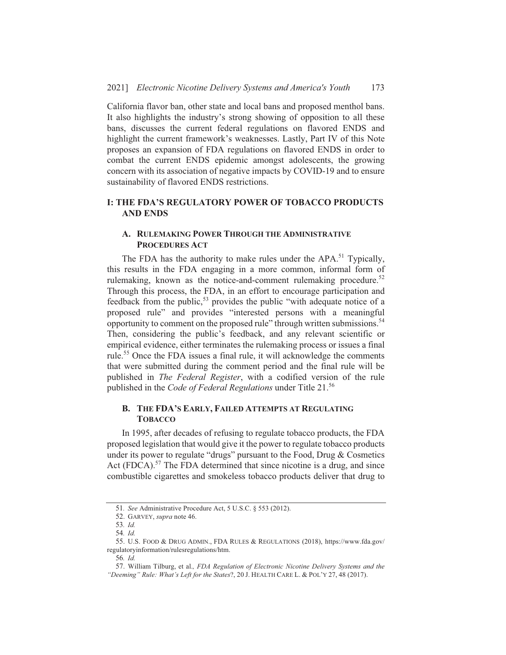California flavor ban, other state and local bans and proposed menthol bans. It also highlights the industry's strong showing of opposition to all these bans, discusses the current federal regulations on flavored ENDS and highlight the current framework's weaknesses. Lastly, Part IV of this Note proposes an expansion of FDA regulations on flavored ENDS in order to combat the current ENDS epidemic amongst adolescents, the growing concern with its association of negative impacts by COVID-19 and to ensure sustainability of flavored ENDS restrictions.

# **I: THE FDA'S REGULATORY POWER OF TOBACCO PRODUCTS AND ENDS**

# A. RULEMAKING POWER THROUGH THE ADMINISTRATIVE **PROCEDURES ACT**

The FDA has the authority to make rules under the APA.<sup>51</sup> Typically, this results in the FDA engaging in a more common, informal form of rulemaking, known as the notice-and-comment rulemaking procedure.<sup>52</sup> Through this process, the FDA, in an effort to encourage participation and feedback from the public,<sup>53</sup> provides the public "with adequate notice of a proposed rule" and provides "interested persons with a meaningful opportunity to comment on the proposed rule" through written submissions.<sup>54</sup> Then, considering the public's feedback, and any relevant scientific or empirical evidence, either terminates the rulemaking process or issues a final rule.<sup>55</sup> Once the FDA issues a final rule, it will acknowledge the comments that were submitted during the comment period and the final rule will be published in *The Federal Register*, with a codified version of the rule published in the Code of Federal Regulations under Title 21.<sup>56</sup>

## **B. THE FDA'S EARLY, FAILED ATTEMPTS AT REGULATING TOBACCO**

In 1995, after decades of refusing to regulate tobacco products, the FDA proposed legislation that would give it the power to regulate tobacco products under its power to regulate "drugs" pursuant to the Food, Drug & Cosmetics Act (FDCA).<sup>57</sup> The FDA determined that since nicotine is a drug, and since combustible cigarettes and smokeless tobacco products deliver that drug to

<sup>51.</sup> See Administrative Procedure Act, 5 U.S.C. § 553 (2012).

<sup>52.</sup> GARVEY, supra note 46.

<sup>53.</sup> Id.

<sup>54.</sup> Id.

<sup>55.</sup> U.S. FOOD & DRUG ADMIN., FDA RULES & REGULATIONS (2018), https://www.fda.gov/ regulatoryinformation/rulesregulations/htm.

<sup>56</sup>  $Id$ 

<sup>57.</sup> William Tilburg, et al., FDA Regulation of Electronic Nicotine Delivery Systems and the "Deeming" Rule: What's Left for the States?, 20 J. HEALTH CARE L. & POL'Y 27, 48 (2017).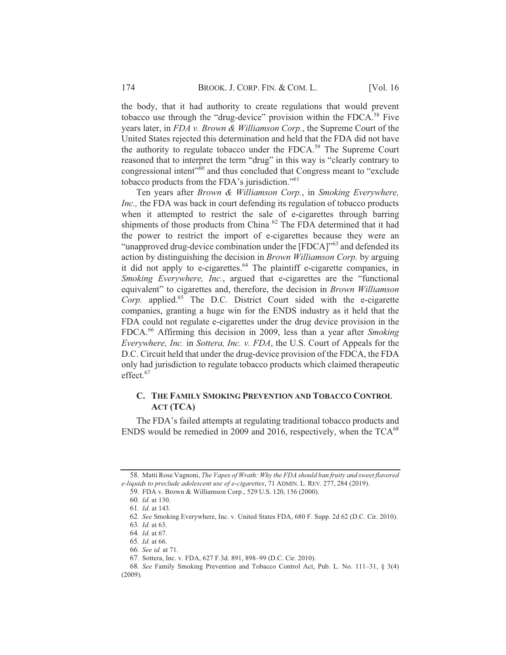the body, that it had authority to create regulations that would prevent tobacco use through the "drug-device" provision within the FDCA.<sup>58</sup> Five years later, in FDA v. Brown & Williamson Corp., the Supreme Court of the United States rejected this determination and held that the FDA did not have the authority to regulate tobacco under the FDCA.<sup>59</sup> The Supreme Court reasoned that to interpret the term "drug" in this way is "clearly contrary to congressional intent"<sup>560</sup> and thus concluded that Congress meant to "exclude" tobacco products from the FDA's jurisdiction."<sup>61</sup>

Ten years after Brown & Williamson Corp., in Smoking Everywhere, Inc., the FDA was back in court defending its regulation of tobacco products when it attempted to restrict the sale of e-cigarettes through barring shipments of those products from China <sup>62</sup> The FDA determined that it had the power to restrict the import of e-cigarettes because they were an "unapproved drug-device combination under the [FDCA]"<sup>63</sup> and defended its action by distinguishing the decision in Brown Williamson Corp. by arguing it did not apply to e-cigarettes.<sup>64</sup> The plaintiff e-cigarette companies, in Smoking Everywhere, Inc., argued that e-cigarettes are the "functional" equivalent" to cigarettes and, therefore, the decision in Brown Williamson Corp. applied.<sup>65</sup> The D.C. District Court sided with the e-cigarette companies, granting a huge win for the ENDS industry as it held that the FDA could not regulate e-cigarettes under the drug device provision in the FDCA.<sup>66</sup> Affirming this decision in 2009, less than a year after Smoking Everywhere, Inc. in Sottera, Inc. v. FDA, the U.S. Court of Appeals for the D.C. Circuit held that under the drug-device provision of the FDCA, the FDA only had jurisdiction to regulate tobacco products which claimed therapeutic effect.<sup>67</sup>

# C. THE FAMILY SMOKING PREVENTION AND TOBACCO CONTROL **ACT (TCA)**

The FDA's failed attempts at regulating traditional tobacco products and ENDS would be remedied in 2009 and 2016, respectively, when the  $TCA^{68}$ 

<sup>58.</sup> Matti Rose Vagnoni, The Vapes of Wrath: Why the FDA should ban fruity and sweet flavored e-liquids to preclude adolescent use of e-cigarettes, 71 ADMIN. L. REV. 277, 284 (2019).

<sup>59.</sup> FDA v. Brown & Williamson Corp., 529 U.S. 120, 156 (2000).

<sup>60.</sup> Id. at 130.

<sup>61.</sup> Id. at 143.

<sup>62.</sup> See Smoking Everywhere, Inc. v. United States FDA, 680 F. Supp. 2d 62 (D.C. Cir. 2010).

<sup>63.</sup> *Id.* at 63.

<sup>64.</sup> Id. at 67.

<sup>65.</sup> Id. at 66.

<sup>66.</sup> See id. at 71.

<sup>67.</sup> Sottera, Inc. v. FDA, 627 F.3d. 891, 898-99 (D.C. Cir. 2010).

<sup>68.</sup> See Family Smoking Prevention and Tobacco Control Act, Pub. L. No. 111–31, § 3(4)  $(2009).$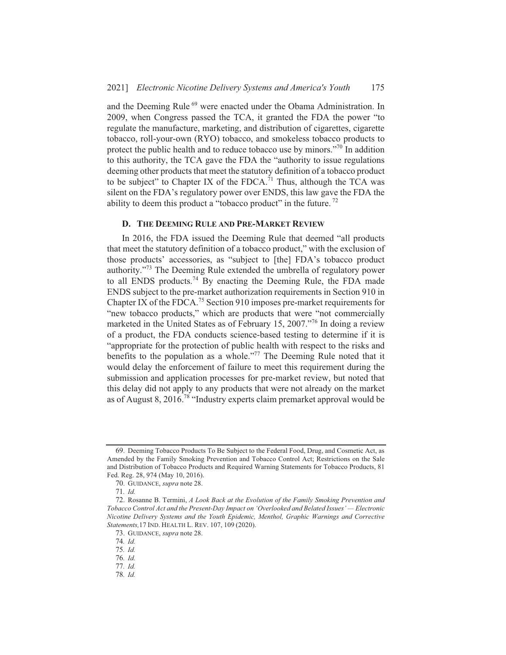and the Deeming Rule<sup>69</sup> were enacted under the Obama Administration. In 2009, when Congress passed the TCA, it granted the FDA the power "to regulate the manufacture, marketing, and distribution of cigarettes, cigarette tobacco, roll-your-own (RYO) tobacco, and smokeless tobacco products to protect the public health and to reduce tobacco use by minors."<sup>70</sup> In addition to this authority, the TCA gave the FDA the "authority to issue regulations" deeming other products that meet the statutory definition of a tobacco product to be subject" to Chapter IX of the FDCA.<sup>71</sup> Thus, although the TCA was silent on the FDA's regulatory power over ENDS, this law gave the FDA the ability to deem this product a "tobacco product" in the future.  $^{72}$ 

### D. THE DEEMING RULE AND PRE-MARKET REVIEW

In 2016, the FDA issued the Deeming Rule that deemed "all products" that meet the statutory definition of a tobacco product," with the exclusion of those products' accessories, as "subject to [the] FDA's tobacco product authority."<sup>73</sup> The Deeming Rule extended the umbrella of regulatory power to all ENDS products.<sup>74</sup> By enacting the Deeming Rule, the FDA made ENDS subject to the pre-market authorization requirements in Section 910 in Chapter IX of the FDCA.<sup>75</sup> Section 910 imposes pre-market requirements for "new tobacco products," which are products that were "not commercially marketed in the United States as of February 15, 2007."<sup>76</sup> In doing a review of a product, the FDA conducts science-based testing to determine if it is "appropriate for the protection of public health with respect to the risks and benefits to the population as a whole."<sup>77</sup> The Deeming Rule noted that it would delay the enforcement of failure to meet this requirement during the submission and application processes for pre-market review, but noted that this delay did not apply to any products that were not already on the market as of August 8, 2016.<sup>78</sup> "Industry experts claim premarket approval would be

<sup>69.</sup> Deeming Tobacco Products To Be Subject to the Federal Food, Drug, and Cosmetic Act, as Amended by the Family Smoking Prevention and Tobacco Control Act; Restrictions on the Sale and Distribution of Tobacco Products and Required Warning Statements for Tobacco Products, 81 Fed. Reg. 28, 974 (May 10, 2016).

<sup>70.</sup> GUIDANCE, supra note 28.

<sup>71.</sup> Id.

<sup>72.</sup> Rosanne B. Termini, A Look Back at the Evolution of the Family Smoking Prevention and Tobacco Control Act and the Present-Day Impact on 'Overlooked and Belated Issues' - Electronic Nicotine Delivery Systems and the Youth Epidemic, Menthol, Graphic Warnings and Corrective Statements, 17 IND. HEALTH L. REV. 107, 109 (2020).

<sup>73.</sup> GUIDANCE, supra note 28.

<sup>74.</sup> Id.

<sup>75.</sup> Id.

<sup>76.</sup> Id.

<sup>77.</sup> Id.

<sup>78.</sup> Id.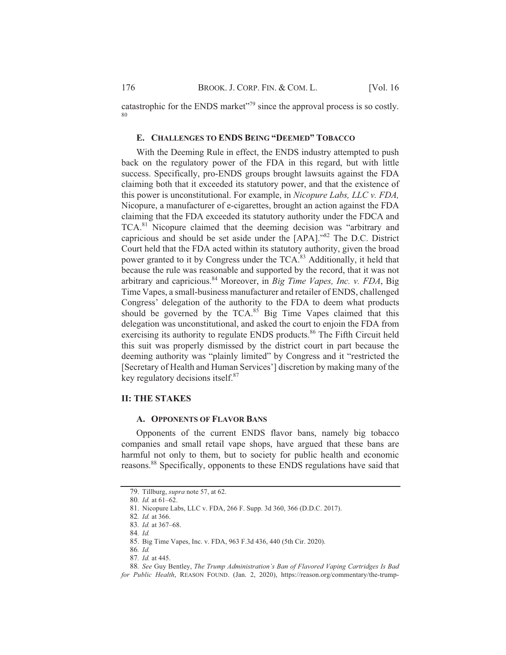catastrophic for the ENDS market"<sup>79</sup> since the approval process is so costly. 80

#### E. CHALLENGES TO ENDS BEING "DEEMED" TOBACCO

With the Deeming Rule in effect, the ENDS industry attempted to push back on the regulatory power of the FDA in this regard, but with little success. Specifically, pro-ENDS groups brought lawsuits against the FDA claiming both that it exceeded its statutory power, and that the existence of this power is unconstitutional. For example, in Nicopure Labs, LLC v. FDA, Nicopure, a manufacturer of e-cigarettes, brought an action against the FDA claiming that the FDA exceeded its statutory authority under the FDCA and TCA.<sup>81</sup> Nicopure claimed that the deeming decision was "arbitrary and capricious and should be set aside under the [APA]."<sup>82</sup> The D.C. District Court held that the FDA acted within its statutory authority, given the broad power granted to it by Congress under the TCA.<sup>83</sup> Additionally, it held that because the rule was reasonable and supported by the record, that it was not arbitrary and capricious.<sup>84</sup> Moreover, in *Big Time Vapes, Inc. v. FDA*, Big Time Vapes, a small-business manufacturer and retailer of ENDS, challenged Congress' delegation of the authority to the FDA to deem what products should be governed by the TCA.<sup>85</sup> Big Time Vapes claimed that this delegation was unconstitutional, and asked the court to enjoin the FDA from exercising its authority to regulate ENDS products.<sup>86</sup> The Fifth Circuit held this suit was properly dismissed by the district court in part because the deeming authority was "plainly limited" by Congress and it "restricted the [Secretary of Health and Human Services'] discretion by making many of the key regulatory decisions itself.<sup>87</sup>

# **II: THE STAKES**

#### A. OPPONENTS OF FLAVOR BANS

Opponents of the current ENDS flavor bans, namely big tobacco companies and small retail vape shops, have argued that these bans are harmful not only to them, but to society for public health and economic reasons.<sup>88</sup> Specifically, opponents to these ENDS regulations have said that

87. Id. at 445.

<sup>79.</sup> Tillburg, supra note 57, at 62.

<sup>80.</sup> Id. at 61-62.

<sup>81.</sup> Nicopure Labs, LLC v. FDA, 266 F. Supp. 3d 360, 366 (D.D.C. 2017).

<sup>82.</sup> Id. at 366.

<sup>83.</sup> Id. at 367-68.

<sup>84.</sup> Id.

<sup>85.</sup> Big Time Vapes, Inc. v. FDA, 963 F.3d 436, 440 (5th Cir. 2020).

<sup>86.</sup> Id.

<sup>88.</sup> See Guy Bentley, The Trump Administration's Ban of Flavored Vaping Cartridges Is Bad for Public Health, REASON FOUND. (Jan. 2, 2020), https://reason.org/commentary/the-trump-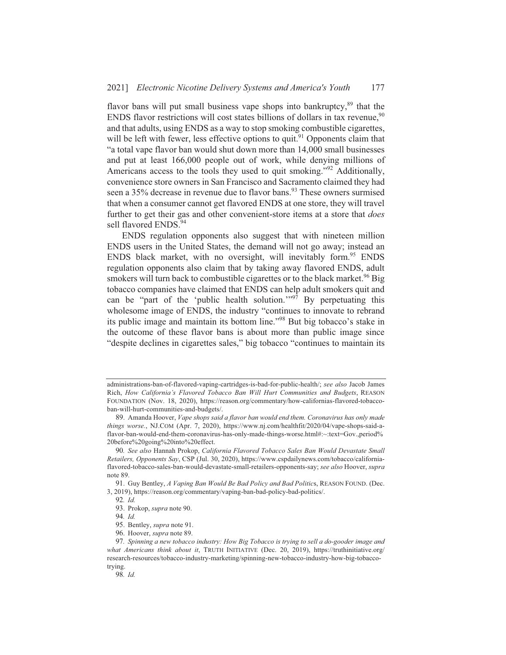flavor bans will put small business vape shops into bankruptcy,<sup>89</sup> that the ENDS flavor restrictions will cost states billions of dollars in tax revenue,<sup>90</sup> and that adults, using ENDS as a way to stop smoking combustible cigarettes, will be left with fewer, less effective options to quit.<sup>91</sup> Opponents claim that "a total vape flavor ban would shut down more than 14,000 small businesses and put at least 166,000 people out of work, while denying millions of Americans access to the tools they used to quit smoking."<sup>92</sup> Additionally, convenience store owners in San Francisco and Sacramento claimed they had seen a 35% decrease in revenue due to flavor bans.<sup>93</sup> These owners surmised that when a consumer cannot get flavored ENDS at one store, they will travel further to get their gas and other convenient-store items at a store that *does* sell flavored ENDS.<sup>94</sup>

ENDS regulation opponents also suggest that with nineteen million ENDS users in the United States, the demand will not go away; instead an ENDS black market, with no oversight, will inevitably form.<sup>95</sup> ENDS regulation opponents also claim that by taking away flavored ENDS, adult smokers will turn back to combustible cigarettes or to the black market.<sup>96</sup> Big tobacco companies have claimed that ENDS can help adult smokers quit and can be "part of the 'public health solution."<sup>97</sup> By perpetuating this wholesome image of ENDS, the industry "continues to innovate to rebrand its public image and maintain its bottom line."<sup>98</sup> But big tobacco's stake in the outcome of these flavor bans is about more than public image since "despite declines in cigarettes sales," big tobacco "continues to maintain its

administrations-ban-of-flavored-vaping-cartridges-is-bad-for-public-health/; see also Jacob James Rich, How California's Flavored Tobacco Ban Will Hurt Communities and Budgets, REASON FOUNDATION (Nov. 18, 2020), https://reason.org/commentary/how-californias-flavored-tobaccoban-will-hurt-communities-and-budgets/.

<sup>89.</sup> Amanda Hoover, Vape shops said a flavor ban would end them. Coronavirus has only made things worse., NJ.COM (Apr. 7, 2020), https://www.nj.com/healthfit/2020/04/vape-shops-said-aflavor-ban-would-end-them-coronavirus-has-only-made-things-worse.html#:~:text=Gov.,period% 20before%20going%20into%20effect.

<sup>90.</sup> See also Hannah Prokop, California Flavored Tobacco Sales Ban Would Devastate Small Retailers, Opponents Say, CSP (Jul. 30, 2020), https://www.cspdailynews.com/tobacco/californiaflavored-tobacco-sales-ban-would-devastate-small-retailers-opponents-say; see also Hoover, supra note 89.

<sup>91.</sup> Guy Bentley, A Vaping Ban Would Be Bad Policy and Bad Politics, REASON FOUND. (Dec. 3, 2019), https://reason.org/commentary/vaping-ban-bad-policy-bad-politics/.

<sup>92.</sup> Id.

<sup>93.</sup> Prokop, supra note 90.

<sup>94.</sup> Id.

<sup>95.</sup> Bentley, supra note 91.

<sup>96.</sup> Hoover, supra note 89.

<sup>97.</sup> Spinning a new tobacco industry: How Big Tobacco is trying to sell a do-gooder image and what Americans think about it, TRUTH INITIATIVE (Dec. 20, 2019), https://truthinitiative.org/ research-resources/tobacco-industry-marketing/spinning-new-tobacco-industry-how-big-tobaccotrying.

<sup>98.</sup> Id.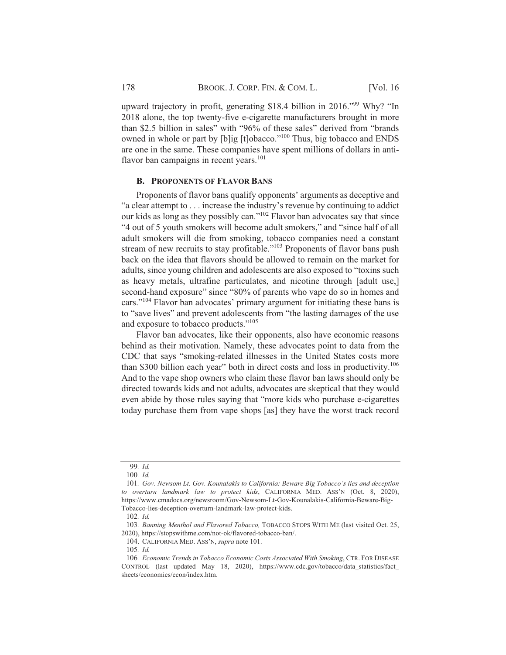upward trajectory in profit, generating \$18.4 billion in 2016."<sup>99</sup> Why? "In 2018 alone, the top twenty-five e-cigarette manufacturers brought in more than \$2.5 billion in sales" with "96% of these sales" derived from "brands" owned in whole or part by [b]ig [t]obacco."<sup>100</sup> Thus, big tobacco and ENDS are one in the same. These companies have spent millions of dollars in antiflavor ban campaigns in recent years.<sup>101</sup>

#### **B. PROPONENTS OF FLAVOR BANS**

Proponents of flavor bans qualify opponents' arguments as deceptive and "a clear attempt to . . . increase the industry's revenue by continuing to addict our kids as long as they possibly can."<sup>102</sup> Flavor ban advocates say that since "4 out of 5 youth smokers will become adult smokers," and "since half of all adult smokers will die from smoking, tobacco companies need a constant stream of new recruits to stay profitable."<sup>103</sup> Proponents of flavor bans push back on the idea that flavors should be allowed to remain on the market for adults, since young children and adolescents are also exposed to "toxins such as heavy metals, ultrafine particulates, and nicotine through [adult use,] second-hand exposure" since "80% of parents who vape do so in homes and cars."<sup>104</sup> Flavor ban advocates' primary argument for initiating these bans is to "save lives" and prevent adolescents from "the lasting damages of the use and exposure to tobacco products."<sup>105</sup>

Flavor ban advocates, like their opponents, also have economic reasons behind as their motivation. Namely, these advocates point to data from the CDC that says "smoking-related illnesses in the United States costs more than \$300 billion each year" both in direct costs and loss in productivity.<sup>106</sup> And to the vape shop owners who claim these flavor ban laws should only be directed towards kids and not adults, advocates are skeptical that they would even abide by those rules saying that "more kids who purchase e-cigarettes today purchase them from vape shops [as] they have the worst track record

<sup>99.</sup> Id.

 $100.$  *Id.* 

<sup>101.</sup> Gov. Newsom Lt. Gov. Kounalakis to California: Beware Big Tobacco's lies and deception to overturn landmark law to protect kids, CALIFORNIA MED. ASS'N (Oct. 8, 2020), https://www.cmadocs.org/newsroom/Gov-Newsom-Lt-Gov-Kounalakis-California-Beware-Big-Tobacco-lies-deception-overturn-landmark-law-protect-kids.

 $102.$  *Id.* 

<sup>103.</sup> Banning Menthol and Flavored Tobacco, TOBACCO STOPS WITH ME (last visited Oct. 25, 2020), https://stopswithme.com/not-ok/flavored-tobacco-ban/.

<sup>104.</sup> CALIFORNIA MED. ASS'N, supra note 101.

<sup>105.</sup> Id.

<sup>106.</sup> Economic Trends in Tobacco Economic Costs Associated With Smoking, CTR. FOR DISEASE CONTROL (last updated May 18, 2020), https://www.cdc.gov/tobacco/data\_statistics/fact\_ sheets/economics/econ/index.htm.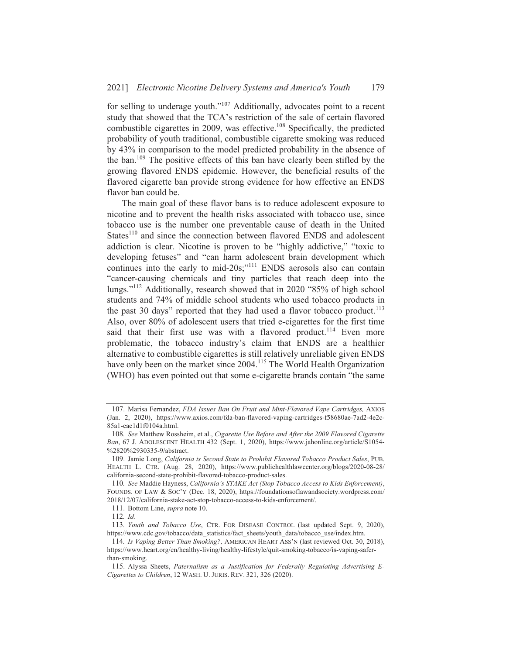for selling to underage youth."<sup>107</sup> Additionally, advocates point to a recent study that showed that the TCA's restriction of the sale of certain flavored combustible cigarettes in 2009, was effective.<sup>108</sup> Specifically, the predicted probability of youth traditional, combustible cigarette smoking was reduced by 43% in comparison to the model predicted probability in the absence of the ban.<sup>109</sup> The positive effects of this ban have clearly been stifled by the growing flavored ENDS epidemic. However, the beneficial results of the flavored cigarette ban provide strong evidence for how effective an ENDS flavor ban could be.

The main goal of these flavor bans is to reduce adolescent exposure to nicotine and to prevent the health risks associated with tobacco use, since tobacco use is the number one preventable cause of death in the United States<sup>110</sup> and since the connection between flavored ENDS and adolescent addiction is clear. Nicotine is proven to be "highly addictive," "toxic to developing fetuses" and "can harm adolescent brain development which continues into the early to mid-20s;"<sup>111</sup> ENDS aerosols also can contain "cancer-causing chemicals and tiny particles that reach deep into the lungs."<sup>112</sup> Additionally, research showed that in 2020 "85% of high school students and 74% of middle school students who used tobacco products in the past 30 days" reported that they had used a flavor tobacco product.<sup>113</sup> Also, over 80% of adolescent users that tried e-cigarettes for the first time said that their first use was with a flavored product.<sup>114</sup> Even more problematic, the tobacco industry's claim that ENDS are a healthier alternative to combustible cigarettes is still relatively unreliable given ENDS have only been on the market since 2004.<sup>115</sup> The World Health Organization (WHO) has even pointed out that some e-cigarette brands contain "the same

<sup>107.</sup> Marisa Fernandez, FDA Issues Ban On Fruit and Mint-Flavored Vape Cartridges, AXIOS (Jan. 2, 2020), https://www.axios.com/fda-ban-flavored-vaping-cartridges-f58680ae-7ad2-4e2c-85a1-eac1d1f0104a.html.

<sup>108.</sup> See Matthew Rossheim, et al., Cigarette Use Before and After the 2009 Flavored Cigarette Ban, 67 J. ADOLESCENT HEALTH 432 (Sept. 1, 2020), https://www.jahonline.org/article/S1054-%2820%2930335-9/abstract.

<sup>109.</sup> Jamie Long, California is Second State to Prohibit Flavored Tobacco Product Sales, PUB. HEALTH L. CTR. (Aug. 28, 2020), https://www.publichealthlawcenter.org/blogs/2020-08-28/ california-second-state-prohibit-flavored-tobacco-product-sales.

<sup>110.</sup> See Maddie Hayness, California's STAKE Act (Stop Tobacco Access to Kids Enforcement), FOUNDS. OF LAW & SOC'Y (Dec. 18, 2020), https://foundationsoflawandsociety.wordpress.com/ 2018/12/07/california-stake-act-stop-tobacco-access-to-kids-enforcement/.

<sup>111.</sup> Bottom Line, *supra* note 10.

<sup>112.</sup>  $Id.$ 

<sup>113.</sup> Youth and Tobacco Use, CTR. FOR DISEASE CONTROL (last updated Sept. 9, 2020), https://www.cdc.gov/tobacco/data\_statistics/fact\_sheets/youth\_data/tobacco\_use/index.htm.

<sup>114.</sup> Is Vaping Better Than Smoking?, AMERICAN HEART ASS'N (last reviewed Oct. 30, 2018), https://www.heart.org/en/healthy-living/healthy-lifestyle/quit-smoking-tobacco/is-vaping-saferthan-smoking.

<sup>115.</sup> Alyssa Sheets, Paternalism as a Justification for Federally Regulating Advertising E-Cigarettes to Children, 12 WASH. U. JURIS. REV. 321, 326 (2020).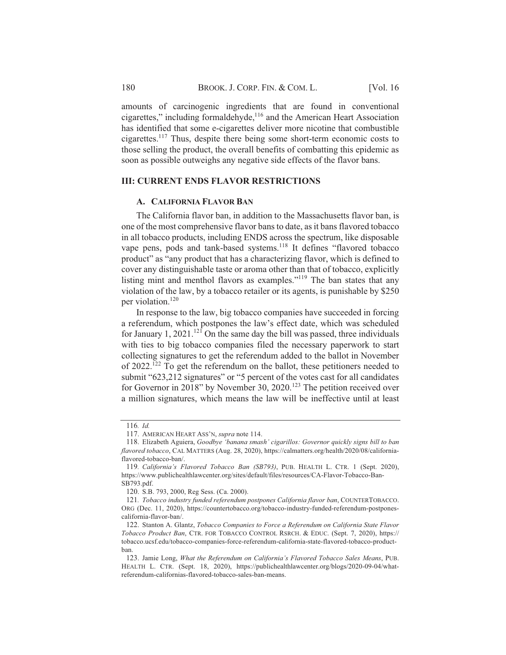amounts of carcinogenic ingredients that are found in conventional cigarettes," including formaldehyde,<sup>116</sup> and the American Heart Association has identified that some e-cigarettes deliver more nicotine that combustible cigarettes.<sup>117</sup> Thus, despite there being some short-term economic costs to those selling the product, the overall benefits of combatting this epidemic as soon as possible outweighs any negative side effects of the flavor bans.

#### **III: CURRENT ENDS FLAVOR RESTRICTIONS**

#### A. CALIFORNIA FLAVOR BAN

The California flavor ban, in addition to the Massachusetts flavor ban, is one of the most comprehensive flavor bans to date, as it bans flavored tobacco in all tobacco products, including ENDS across the spectrum, like disposable vape pens, pods and tank-based systems.<sup>118</sup> It defines "flavored tobacco" product" as "any product that has a characterizing flavor, which is defined to cover any distinguishable taste or aroma other than that of tobacco, explicitly listing mint and menthol flavors as examples."<sup>119</sup> The ban states that any violation of the law, by a tobacco retailer or its agents, is punishable by \$250 per violation.<sup>120</sup>

In response to the law, big tobacco companies have succeeded in forcing a referendum, which postpones the law's effect date, which was scheduled for January 1, 2021.<sup>121</sup> On the same day the bill was passed, three individuals with ties to big tobacco companies filed the necessary paperwork to start collecting signatures to get the referendum added to the ballot in November of  $2022$ .<sup>122</sup> To get the referendum on the ballot, these petitioners needed to submit "623,212 signatures" or "5 percent of the votes cast for all candidates for Governor in 2018" by November 30, 2020.<sup>123</sup> The petition received over a million signatures, which means the law will be ineffective until at least

<sup>116.</sup>  $Id.$ 

<sup>117.</sup> AMERICAN HEART ASS'N, supra note 114.

<sup>118.</sup> Elizabeth Aguiera, Goodbye 'banana smash' cigarillos: Governor quickly signs bill to ban flavored tobacco, CAL MATTERS (Aug. 28, 2020), https://calmatters.org/health/2020/08/californiaflavored-tobacco-ban/.

<sup>119.</sup> California's Flavored Tobacco Ban (SB793), PUB. HEALTH L. CTR. 1 (Sept. 2020), https://www.publichealthlawcenter.org/sites/default/files/resources/CA-Flavor-Tobacco-Ban-SB793.pdf.

<sup>120.</sup> S.B. 793, 2000, Reg Sess. (Ca. 2000).

<sup>121.</sup> Tobacco industry funded referendum postpones California flavor ban, COUNTERTOBACCO. ORG (Dec. 11, 2020), https://countertobacco.org/tobacco-industry-funded-referendum-postponescalifornia-flavor-ban/.

<sup>122.</sup> Stanton A. Glantz, Tobacco Companies to Force a Referendum on California State Flavor Tobacco Product Ban, CTR. FOR TOBACCO CONTROL RSRCH. & EDUC. (Sept. 7, 2020), https:// tobacco.ucsf.edu/tobacco-companies-force-referendum-california-state-flavored-tobacco-productban.

<sup>123.</sup> Jamie Long, What the Referendum on California's Flavored Tobacco Sales Means, PUB. HEALTH L. CTR. (Sept. 18, 2020), https://publichealthlawcenter.org/blogs/2020-09-04/whatreferendum-californias-flavored-tobacco-sales-ban-means.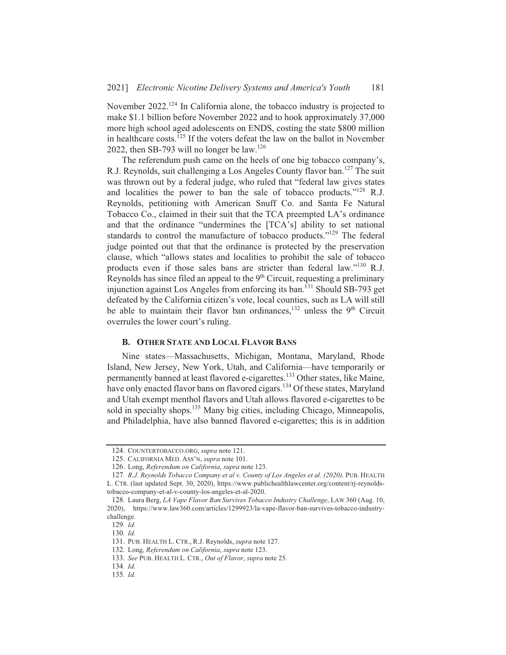November 2022.<sup>124</sup> In California alone, the tobacco industry is projected to make \$1.1 billion before November 2022 and to hook approximately 37,000 more high school aged adolescents on ENDS, costing the state \$800 million in healthcare costs.<sup>125</sup> If the voters defeat the law on the ballot in November 2022, then SB-793 will no longer be law.<sup>126</sup>

The referendum push came on the heels of one big tobacco company's, R.J. Reynolds, suit challenging a Los Angeles County flavor ban.<sup>127</sup> The suit was thrown out by a federal judge, who ruled that "federal law gives states and localities the power to ban the sale of tobacco products."<sup>128</sup> R.J. Reynolds, petitioning with American Snuff Co. and Santa Fe Natural Tobacco Co., claimed in their suit that the TCA preempted LA's ordinance and that the ordinance "undermines the [TCA's] ability to set national standards to control the manufacture of tobacco products."<sup>129</sup> The federal judge pointed out that that the ordinance is protected by the preservation clause, which "allows states and localities to prohibit the sale of tobacco products even if those sales bans are stricter than federal law."<sup>130</sup> R.J. Reynolds has since filed an appeal to the  $9<sup>th</sup>$  Circuit, requesting a preliminary injunction against Los Angeles from enforcing its ban.<sup>131</sup> Should SB-793 get defeated by the California citizen's vote, local counties, such as LA will still be able to maintain their flavor ban ordinances,  $132$  unless the 9<sup>th</sup> Circuit overrules the lower court's ruling.

#### **B. OTHER STATE AND LOCAL FLAVOR BANS**

Nine states—Massachusetts, Michigan, Montana, Maryland, Rhode Island, New Jersey, New York, Utah, and California-have temporarily or permanently banned at least flavored e-cigarettes.<sup>133</sup> Other states, like Maine, have only enacted flavor bans on flavored cigars.<sup>134</sup> Of these states, Maryland and Utah exempt menthol flavors and Utah allows flavored e-cigarettes to be sold in specialty shops.<sup>135</sup> Many big cities, including Chicago, Minneapolis, and Philadelphia, have also banned flavored e-cigarettes; this is in addition

<sup>124.</sup> COUNTERTOBACCO.ORG, supra note 121.

<sup>125.</sup> CALIFORNIA MED. ASS'N, supra note 101.

<sup>126.</sup> Long, Referendum on California, supra note 123.

<sup>127.</sup> R.J. Reynolds Tobacco Company et al v. County of Los Angeles et al. (2020), PUB. HEALTH L. CTR. (last updated Sept. 30, 2020), https://www.publichealthlawcenter.org/content/rj-reynoldstobacco-company-et-al-v-county-los-angeles-et-al-2020.

<sup>128.</sup> Laura Berg, LA Vape Flavor Ban Survives Tobacco Industry Challenge, LAW 360 (Aug. 10, 2020), https://www.law360.com/articles/1299923/la-vape-flavor-ban-survives-tobacco-industrychallenge.

<sup>129.</sup>  $Id.$ 

<sup>130.</sup> Id.

<sup>131.</sup> PUB. HEALTH L. CTR., R.J. Reynolds, supra note 127.

<sup>132.</sup> Long, Referendum on California, supra note 123.

<sup>133.</sup> See PUB. HEALTH L. CTR., Out of Flavor, supra note 25.

<sup>134.</sup> Id.

<sup>135.</sup> Id.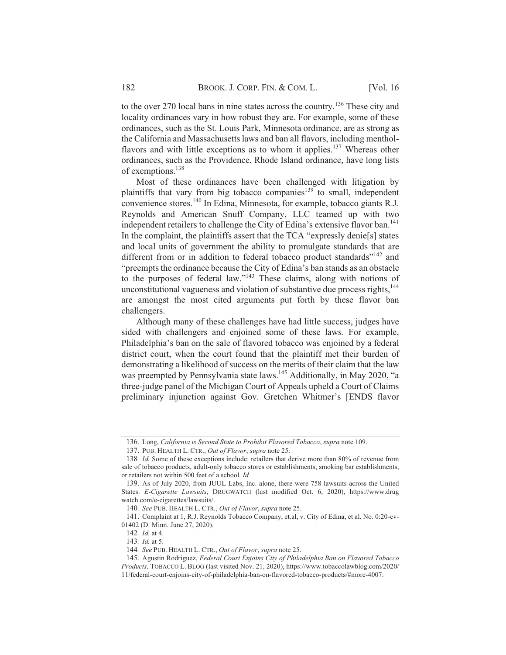to the over 270 local bans in nine states across the country.<sup>136</sup> These city and locality ordinances vary in how robust they are. For example, some of these ordinances, such as the St. Louis Park, Minnesota ordinance, are as strong as the California and Massachusetts laws and ban all flavors, including mentholflavors and with little exceptions as to whom it applies.<sup>137</sup> Whereas other ordinances, such as the Providence, Rhode Island ordinance, have long lists of exemptions.<sup>138</sup>

Most of these ordinances have been challenged with litigation by plaintiffs that vary from big tobacco companies<sup>139</sup> to small, independent convenience stores.<sup>140</sup> In Edina, Minnesota, for example, tobacco giants R.J. Revnolds and American Snuff Company, LLC teamed up with two independent retailers to challenge the City of Edina's extensive flavor ban.<sup>141</sup> In the complaint, the plaintiffs assert that the TCA "expressly denie[s] states and local units of government the ability to promulgate standards that are different from or in addition to federal tobacco product standards"<sup>142</sup> and "preempts the ordinance because the City of Edina's ban stands as an obstacle to the purposes of federal law."<sup>143</sup> These claims, along with notions of unconstitutional vagueness and violation of substantive due process rights, <sup>144</sup> are amongst the most cited arguments put forth by these flavor ban challengers.

Although many of these challenges have had little success, judges have sided with challengers and enjoined some of these laws. For example, Philadelphia's ban on the sale of flavored tobacco was enjoined by a federal district court, when the court found that the plaintiff met their burden of demonstrating a likelihood of success on the merits of their claim that the law was preempted by Pennsylvania state laws.<sup>145</sup> Additionally, in May 2020, "a three-judge panel of the Michigan Court of Appeals upheld a Court of Claims preliminary injunction against Gov. Gretchen Whitmer's [ENDS flavor

<sup>136.</sup> Long, California is Second State to Prohibit Flavored Tobacco, supra note 109.

<sup>137.</sup> PUB. HEALTH L. CTR., Out of Flavor, supra note 25.

<sup>138.</sup> *Id.* Some of these exceptions include: retailers that derive more than 80% of revenue from sale of tobacco products, adult-only tobacco stores or establishments, smoking bar establishments, or retailers not within 500 feet of a school. Id.

<sup>139.</sup> As of July 2020, from JUUL Labs, Inc. alone, there were 758 lawsuits across the United States. E-Cigarette Lawsuits, DRUGWATCH (last modified Oct. 6, 2020), https://www.drug watch.com/e-cigarettes/lawsuits/.

<sup>140.</sup> See PUB. HEALTH L. CTR., Out of Flavor, supra note 25.

<sup>141.</sup> Complaint at 1, R.J. Reynolds Tobacco Company, et.al, v. City of Edina, et al. No. 0:20-cv-01402 (D. Minn. June 27, 2020).

<sup>142.</sup> Id. at 4.

<sup>143.</sup> Id. at 5.

<sup>144.</sup> See PUB. HEALTH L. CTR., Out of Flavor, supra note 25.

<sup>145.</sup> Agustin Rodriguez, Federal Court Enjoins City of Philadelphia Ban on Flavored Tobacco Products, TOBACCO L. BLOG (last visited Nov. 21, 2020), https://www.tobaccolawblog.com/2020/ 11/federal-court-enjoins-city-of-philadelphia-ban-on-flavored-tobacco-products/#more-4007.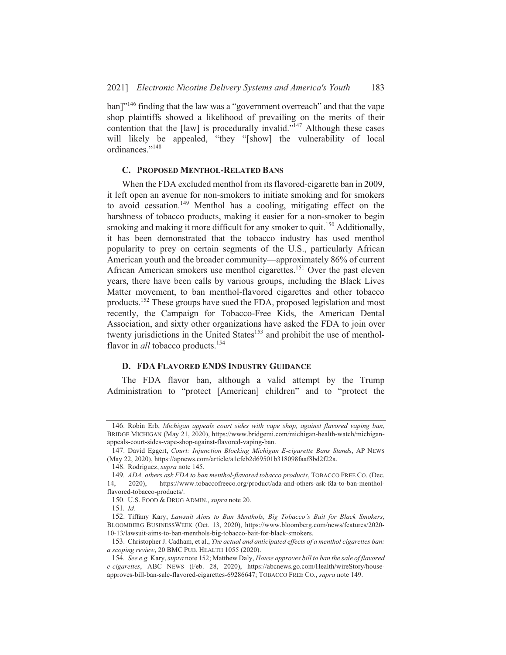ban]"<sup>146</sup> finding that the law was a "government overreach" and that the vape shop plaintiffs showed a likelihood of prevailing on the merits of their contention that the [law] is procedurally invalid."<sup>147</sup> Although these cases will likely be appealed, "they "[show] the vulnerability of local ordinances."<sup>148</sup>

#### C. PROPOSED MENTHOL-RELATED BANS

When the FDA excluded menthol from its flavored-cigarette ban in 2009, it left open an avenue for non-smokers to initiate smoking and for smokers to avoid cessation.<sup>149</sup> Menthol has a cooling, mitigating effect on the harshness of tobacco products, making it easier for a non-smoker to begin smoking and making it more difficult for any smoker to quit.<sup>150</sup> Additionally, it has been demonstrated that the tobacco industry has used menthol popularity to prey on certain segments of the U.S., particularly African American youth and the broader community—approximately 86% of current African American smokers use menthol cigarettes.<sup>151</sup> Over the past eleven years, there have been calls by various groups, including the Black Lives Matter movement, to ban menthol-flavored cigarettes and other tobacco products.<sup>152</sup> These groups have sued the FDA, proposed legislation and most recently, the Campaign for Tobacco-Free Kids, the American Dental Association, and sixty other organizations have asked the FDA to join over twenty jurisdictions in the United States<sup>153</sup> and prohibit the use of mentholflavor in *all* tobacco products.<sup>154</sup>

#### **D. FDA FLAVORED ENDS INDUSTRY GUIDANCE**

The FDA flavor ban, although a valid attempt by the Trump Administration to "protect [American] children" and to "protect the

<sup>146.</sup> Robin Erb, Michigan appeals court sides with vape shop, against flavored vaping ban, BRIDGE MICHIGAN (May 21, 2020), https://www.bridgemi.com/michigan-health-watch/michiganappeals-court-sides-vape-shop-against-flavored-vaping-ban.

<sup>147.</sup> David Eggert, Court: Injunction Blocking Michigan E-cigarette Bans Stands, AP NEWS (May 22, 2020), https://apnews.com/article/a1cfeb2d69501b318098faaf8bd2f22a.

<sup>148.</sup> Rodriguez, supra note 145.

<sup>149.</sup> ADA, others ask FDA to ban menthol-flavored tobacco products, TOBACCO FREE CO. (Dec.

https://www.tobaccofreeco.org/product/ada-and-others-ask-fda-to-ban-menthol- $14$  $2020$ ). flavored-tobacco-products/.

<sup>150.</sup> U.S. FOOD & DRUG ADMIN., supra note 20.

<sup>151.</sup> Id.

<sup>152.</sup> Tiffany Kary, Lawsuit Aims to Ban Menthols, Big Tobacco's Bait for Black Smokers, BLOOMBERG BUSINESSWEEK (Oct. 13, 2020), https://www.bloomberg.com/news/features/2020-10-13/lawsuit-aims-to-ban-menthols-big-tobacco-bait-for-black-smokers.

<sup>153.</sup> Christopher J. Cadham, et al., The actual and anticipated effects of a menthol cigarettes ban: a scoping review, 20 BMC PUB. HEALTH 1055 (2020).

<sup>154.</sup> See e.g. Kary, supra note 152; Matthew Daly, House approves bill to ban the sale of flavored e-cigarettes, ABC NEWS (Feb. 28, 2020), https://abcnews.go.com/Health/wireStory/houseapproves-bill-ban-sale-flavored-cigarettes-69286647; TOBACCO FREE CO., supra note 149.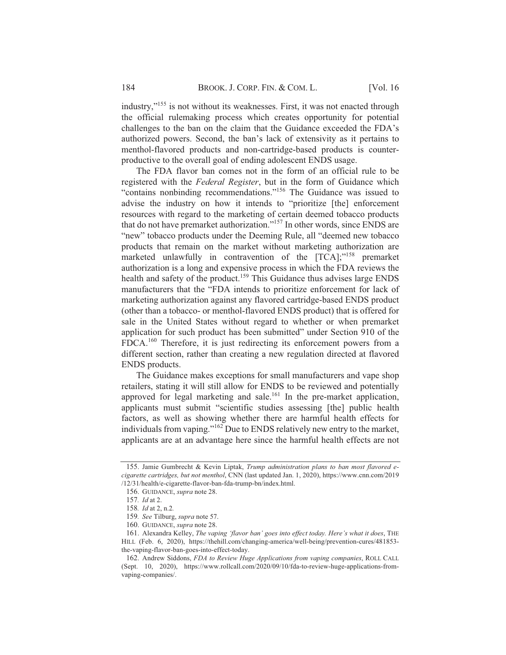industry,"<sup>155</sup> is not without its weaknesses. First, it was not enacted through the official rulemaking process which creates opportunity for potential challenges to the ban on the claim that the Guidance exceeded the FDA's authorized powers. Second, the ban's lack of extensivity as it pertains to menthol-flavored products and non-cartridge-based products is counterproductive to the overall goal of ending adolescent ENDS usage.

The FDA flavor ban comes not in the form of an official rule to be registered with the Federal Register, but in the form of Guidance which "contains nonbinding recommendations."<sup>156</sup> The Guidance was issued to advise the industry on how it intends to "prioritize [the] enforcement resources with regard to the marketing of certain deemed tobacco products that do not have premarket authorization."<sup>157</sup> In other words, since ENDS are "new" tobacco products under the Deeming Rule, all "deemed new tobacco" products that remain on the market without marketing authorization are marketed unlawfully in contravention of the [TCA];"<sup>158</sup> premarket authorization is a long and expensive process in which the FDA reviews the health and safety of the product.<sup>159</sup> This Guidance thus advises large ENDS manufacturers that the "FDA intends to prioritize enforcement for lack of marketing authorization against any flavored cartridge-based ENDS product (other than a tobacco- or menthol-flavored ENDS product) that is offered for sale in the United States without regard to whether or when premarket application for such product has been submitted" under Section 910 of the FDCA.<sup>160</sup> Therefore, it is just redirecting its enforcement powers from a different section, rather than creating a new regulation directed at flavored ENDS products.

The Guidance makes exceptions for small manufacturers and vape shop retailers, stating it will still allow for ENDS to be reviewed and potentially approved for legal marketing and sale.<sup>161</sup> In the pre-market application, applicants must submit "scientific studies assessing [the] public health factors, as well as showing whether there are harmful health effects for individuals from vaping."<sup>162</sup> Due to ENDS relatively new entry to the market, applicants are at an advantage here since the harmful health effects are not

<sup>155.</sup> Jamie Gumbrecht & Kevin Liptak, Trump administration plans to ban most flavored ecigarette cartridges, but not menthol, CNN (last updated Jan. 1, 2020), https://www.cnn.com/2019 /12/31/health/e-cigarette-flavor-ban-fda-trump-bn/index.html.

<sup>156.</sup> GUIDANCE, supra note 28.

<sup>157.</sup> Id at 2.

<sup>158.</sup> Id at 2, n.2.

<sup>159.</sup> See Tilburg, supra note 57.

<sup>160.</sup> GUIDANCE, *supra* note 28.

<sup>161.</sup> Alexandra Kelley, The vaping 'flavor ban' goes into effect today. Here's what it does, THE HILL (Feb. 6, 2020), https://thehill.com/changing-america/well-being/prevention-cures/481853the-vaping-flavor-ban-goes-into-effect-today.

<sup>162.</sup> Andrew Siddons, FDA to Review Huge Applications from vaping companies, ROLL CALL (Sept. 10, 2020), https://www.rollcall.com/2020/09/10/fda-to-review-huge-applications-fromvaping-companies/.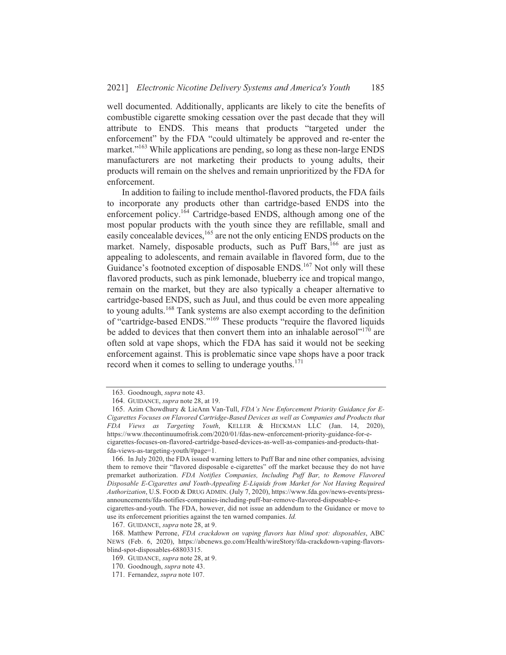well documented. Additionally, applicants are likely to cite the benefits of combustible cigarette smoking cessation over the past decade that they will attribute to ENDS. This means that products "targeted under the enforcement" by the FDA "could ultimately be approved and re-enter the market."<sup>163</sup> While applications are pending, so long as these non-large ENDS manufacturers are not marketing their products to young adults, their products will remain on the shelves and remain unprioritized by the FDA for enforcement.

In addition to failing to include menthol-flavored products, the FDA fails to incorporate any products other than cartridge-based ENDS into the enforcement policy.<sup>164</sup> Cartridge-based ENDS, although among one of the most popular products with the youth since they are refillable, small and easily concealable devices, <sup>165</sup> are not the only enticing ENDS products on the market. Namely, disposable products, such as Puff Bars, <sup>166</sup> are just as appealing to adolescents, and remain available in flavored form, due to the Guidance's footnoted exception of disposable ENDS.<sup>167</sup> Not only will these flavored products, such as pink lemonade, blueberry ice and tropical mango, remain on the market, but they are also typically a cheaper alternative to cartridge-based ENDS, such as Juul, and thus could be even more appealing to young adults.<sup>168</sup> Tank systems are also exempt according to the definition of "cartridge-based ENDS."<sup>169</sup> These products "require the flavored liquids be added to devices that then convert them into an inhalable aerosol"<sup>170</sup> are often sold at vape shops, which the FDA has said it would not be seeking enforcement against. This is problematic since vape shops have a poor track record when it comes to selling to underage youths.<sup>171</sup>

<sup>163.</sup> Goodnough, supra note 43.

<sup>164.</sup> GUIDANCE, supra note 28, at 19.

<sup>165.</sup> Azim Chowdhury & LieAnn Van-Tull, FDA's New Enforcement Priority Guidance for E-Cigarettes Focuses on Flavored Cartridge-Based Devices as well as Companies and Products that FDA Views as Targeting Youth, KELLER & HECKMAN LLC (Jan. 14, 2020), https://www.thecontinuumofrisk.com/2020/01/fdas-new-enforcement-priority-guidance-for-ecigarettes-focuses-on-flavored-cartridge-based-devices-as-well-as-companies-and-products-thatfda-views-as-targeting-youth/#page=1.

<sup>166.</sup> In July 2020, the FDA issued warning letters to Puff Bar and nine other companies, advising them to remove their "flavored disposable e-cigarettes" off the market because they do not have premarket authorization. FDA Notifies Companies, Including Puff Bar, to Remove Flavored Disposable E-Cigarettes and Youth-Appealing E-Liquids from Market for Not Having Required Authorization, U.S. FOOD & DRUG ADMIN. (July 7, 2020), https://www.fda.gov/news-events/pressannouncements/fda-notifies-companies-including-puff-bar-remove-flavored-disposable-e-

cigarettes-and-youth. The FDA, however, did not issue an addendum to the Guidance or move to use its enforcement priorities against the ten warned companies. Id.

<sup>167.</sup> GUIDANCE, *supra* note 28, at 9.

<sup>168.</sup> Matthew Perrone, FDA crackdown on vaping flavors has blind spot: disposables, ABC NEWS (Feb. 6, 2020), https://abcnews.go.com/Health/wireStory/fda-crackdown-vaping-flavorsblind-spot-disposables-68803315.

<sup>169.</sup> GUIDANCE, supra note 28, at 9.

<sup>170.</sup> Goodnough, supra note 43.

<sup>171.</sup> Fernandez, supra note 107.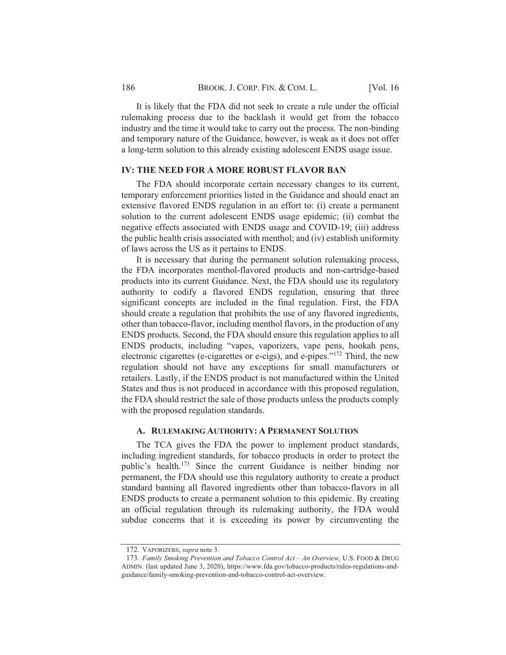It is likely that the FDA did not seek to create a rule under the official rulemaking process due to the backlash it would get from the tobacco industry and the time it would take to carry out the process. The non-binding and temporary nature of the Guidance, however, is weak as it does not offer a long-term solution to this already existing adolescent ENDS usage issue.

#### **IV: THE NEED FOR A MORE ROBUST FLAVOR BAN**

The FDA should incorporate certain necessary changes to its current, temporary enforcement priorities listed in the Guidance and should enact an extensive flavored ENDS regulation in an effort to: (i) create a permanent solution to the current adolescent ENDS usage epidemic; (ii) combat the negative effects associated with ENDS usage and COVID-19; (iii) address the public health crisis associated with menthol; and (iv) establish uniformity of laws across the US as it pertains to ENDS.

It is necessary that during the permanent solution rulemaking process, the FDA incorporates menthol-flavored products and non-cartridge-based products into its current Guidance. Next, the FDA should use its regulatory authority to codify a flavored ENDS regulation, ensuring that three significant concepts are included in the final regulation. First, the FDA should create a regulation that prohibits the use of any flavored ingredients, other than tobacco-flavor, including menthol flavors, in the production of any ENDS products. Second, the FDA should ensure this regulation applies to all ENDS products, including "vapes, vaporizers, vape pens, hookah pens, electronic cigarettes (e-cigarettes or e-cigs), and e-pipes."<sup>172</sup> Third, the new regulation should not have any exceptions for small manufacturers or retailers. Lastly, if the ENDS product is not manufactured within the United States and thus is not produced in accordance with this proposed regulation, the FDA should restrict the sale of those products unless the products comply with the proposed regulation standards.

#### A. RULEMAKING AUTHORITY: A PERMANENT SOLUTION

The TCA gives the FDA the power to implement product standards, including ingredient standards, for tobacco products in order to protect the public's health.<sup>173</sup> Since the current Guidance is neither binding nor permanent, the FDA should use this regulatory authority to create a product standard banning all flavored ingredients other than tobacco-flavors in all ENDS products to create a permanent solution to this epidemic. By creating an official regulation through its rulemaking authority, the FDA would subdue concerns that it is exceeding its power by circumventing the

<sup>172.</sup> VAPORIZERS, supra note 3.

<sup>173.</sup> Family Smoking Prevention and Tobacco Control Act - An Overview, U.S. FOOD & DRUG ADMIN. (last updated June 3, 2020), https://www.fda.gov/tobacco-products/rules-regulations-andguidance/family-smoking-prevention-and-tobacco-control-act-overview.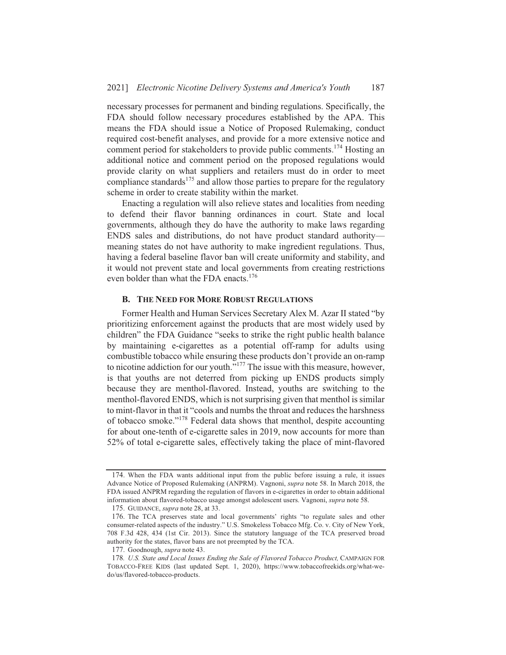necessary processes for permanent and binding regulations. Specifically, the FDA should follow necessary procedures established by the APA. This means the FDA should issue a Notice of Proposed Rulemaking, conduct required cost-benefit analyses, and provide for a more extensive notice and comment period for stakeholders to provide public comments.<sup>174</sup> Hosting an additional notice and comment period on the proposed regulations would provide clarity on what suppliers and retailers must do in order to meet compliance standards<sup>175</sup> and allow those parties to prepare for the regulatory scheme in order to create stability within the market.

Enacting a regulation will also relieve states and localities from needing to defend their flavor banning ordinances in court. State and local governments, although they do have the authority to make laws regarding ENDS sales and distributions, do not have product standard authoritymeaning states do not have authority to make ingredient regulations. Thus, having a federal baseline flavor ban will create uniformity and stability, and it would not prevent state and local governments from creating restrictions even bolder than what the FDA enacts.<sup>176</sup>

#### **B. THE NEED FOR MORE ROBUST REGULATIONS**

Former Health and Human Services Secretary Alex M. Azar II stated "by prioritizing enforcement against the products that are most widely used by children" the FDA Guidance "seeks to strike the right public health balance by maintaining e-cigarettes as a potential off-ramp for adults using combustible tobacco while ensuring these products don't provide an on-ramp to nicotine addiction for our youth."<sup>177</sup> The issue with this measure, however, is that youths are not deterred from picking up ENDS products simply because they are menthol-flavored. Instead, youths are switching to the menthol-flavored ENDS, which is not surprising given that menthol is similar to mint-flavor in that it "cools and numbs the throat and reduces the harshness of tobacco smoke."<sup>178</sup> Federal data shows that menthol, despite accounting for about one-tenth of e-cigarette sales in 2019, now accounts for more than 52% of total e-cigarette sales, effectively taking the place of mint-flavored

<sup>174.</sup> When the FDA wants additional input from the public before issuing a rule, it issues Advance Notice of Proposed Rulemaking (ANPRM). Vagnoni, supra note 58. In March 2018, the FDA issued ANPRM regarding the regulation of flavors in e-cigarettes in order to obtain additional information about flavored-tobacco usage amongst adolescent users. Vagnoni, supra note 58.

<sup>175.</sup> GUIDANCE, supra note 28, at 33.

<sup>176.</sup> The TCA preserves state and local governments' rights "to regulate sales and other consumer-related aspects of the industry." U.S. Smokeless Tobacco Mfg. Co. v. City of New York, 708 F.3d 428, 434 (1st Cir. 2013). Since the statutory language of the TCA preserved broad authority for the states, flavor bans are not preempted by the TCA.

<sup>177.</sup> Goodnough, supra note 43.

<sup>178.</sup> U.S. State and Local Issues Ending the Sale of Flavored Tobacco Product, CAMPAIGN FOR TOBACCO-FREE KIDS (last updated Sept. 1, 2020), https://www.tobaccofreekids.org/what-wedo/us/flavored-tobacco-products.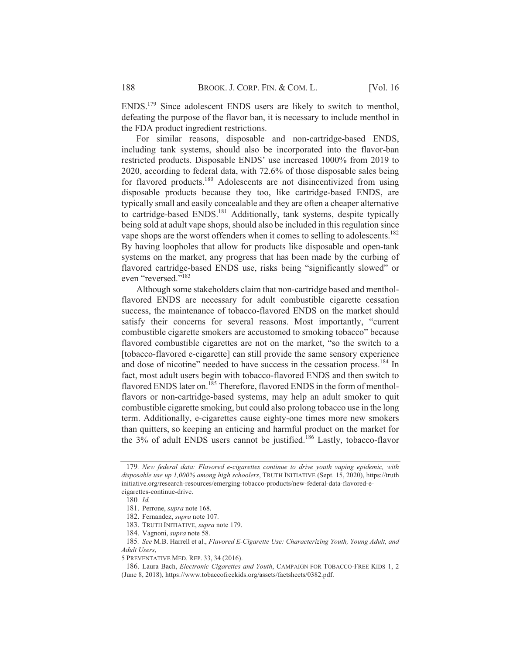ENDS.<sup>179</sup> Since adolescent ENDS users are likely to switch to menthol, defeating the purpose of the flavor ban, it is necessary to include menthol in the FDA product ingredient restrictions.

For similar reasons, disposable and non-cartridge-based ENDS, including tank systems, should also be incorporated into the flavor-ban restricted products. Disposable ENDS' use increased 1000% from 2019 to 2020, according to federal data, with 72.6% of those disposable sales being for flavored products.<sup>180</sup> Adolescents are not disincentivized from using disposable products because they too, like cartridge-based ENDS, are typically small and easily concealable and they are often a cheaper alternative to cartridge-based ENDS.<sup>181</sup> Additionally, tank systems, despite typically being sold at adult vape shops, should also be included in this regulation since vape shops are the worst offenders when it comes to selling to adolescents.<sup>182</sup> By having loopholes that allow for products like disposable and open-tank systems on the market, any progress that has been made by the curbing of flavored cartridge-based ENDS use, risks being "significantly slowed" or even "reversed."<sup>183</sup>

Although some stakeholders claim that non-cartridge based and mentholflavored ENDS are necessary for adult combustible cigarette cessation success, the maintenance of tobacco-flavored ENDS on the market should satisfy their concerns for several reasons. Most importantly, "current combustible cigarette smokers are accustomed to smoking tobacco" because flavored combustible cigarettes are not on the market, "so the switch to a [tobacco-flavored e-cigarette] can still provide the same sensory experience and dose of nicotine" needed to have success in the cessation process.<sup>184</sup> In fact, most adult users begin with tobacco-flavored ENDS and then switch to flavored ENDS later on.<sup>185</sup> Therefore, flavored ENDS in the form of mentholflavors or non-cartridge-based systems, may help an adult smoker to quit combustible cigarette smoking, but could also prolong tobacco use in the long term. Additionally, e-cigarettes cause eighty-one times more new smokers than quitters, so keeping an enticing and harmful product on the market for the 3% of adult ENDS users cannot be justified.<sup>186</sup> Lastly, tobacco-flavor

<sup>179.</sup> New federal data: Flavored e-cigarettes continue to drive youth vaping epidemic, with disposable use up 1,000% among high schoolers, TRUTH INITIATIVE (Sept. 15, 2020), https://truth initiative.org/research-resources/emerging-tobacco-products/new-federal-data-flavored-ecigarettes-continue-drive.

<sup>180.</sup> Id.

<sup>181.</sup> Perrone, supra note 168.

<sup>182.</sup> Fernandez, supra note 107.

<sup>183.</sup> TRUTH INITIATIVE, supra note 179.

<sup>184.</sup> Vagnoni, supra note 58.

<sup>185.</sup> See M.B. Harrell et al., Flavored E-Cigarette Use: Characterizing Youth, Young Adult, and Adult Users,

<sup>5</sup> PREVENTATIVE MED. REP. 33, 34 (2016).

<sup>186.</sup> Laura Bach, Electronic Cigarettes and Youth, CAMPAIGN FOR TOBACCO-FREE KIDS 1, 2 (June 8, 2018), https://www.tobaccofreekids.org/assets/factsheets/0382.pdf.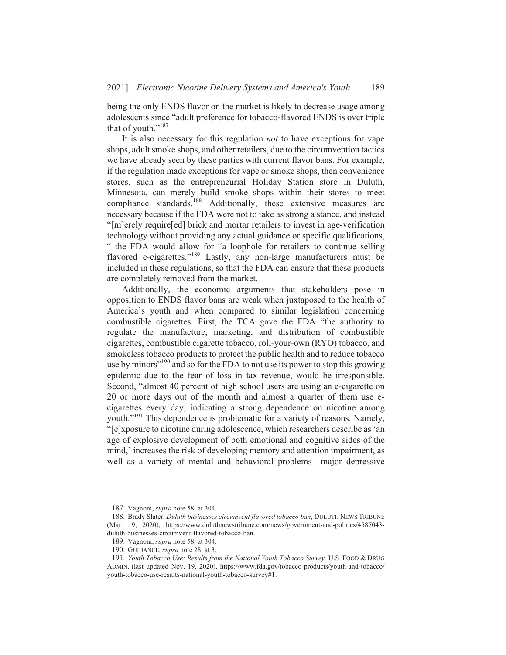being the only ENDS flavor on the market is likely to decrease usage among adolescents since "adult preference for tobacco-flavored ENDS is over triple that of youth."<sup>187</sup>

It is also necessary for this regulation *not* to have exceptions for vape shops, adult smoke shops, and other retailers, due to the circumvention tactics we have already seen by these parties with current flavor bans. For example, if the regulation made exceptions for vape or smoke shops, then convenience stores, such as the entrepreneurial Holiday Station store in Duluth, Minnesota, can merely build smoke shops within their stores to meet compliance standards.<sup>188</sup> Additionally, these extensive measures are necessary because if the FDA were not to take as strong a stance, and instead "[m]erely require [ed] brick and mortar retailers to invest in age-verification technology without providing any actual guidance or specific qualifications, " the FDA would allow for "a loophole for retailers to continue selling flavored e-cigarettes."<sup>189</sup> Lastly, any non-large manufacturers must be included in these regulations, so that the FDA can ensure that these products are completely removed from the market.

Additionally, the economic arguments that stakeholders pose in opposition to ENDS flavor bans are weak when juxtaposed to the health of America's youth and when compared to similar legislation concerning combustible cigarettes. First, the TCA gave the FDA "the authority to regulate the manufacture, marketing, and distribution of combustible cigarettes, combustible cigarette tobacco, roll-your-own (RYO) tobacco, and smokeless to bacco products to protect the public health and to reduce to bacco use by minors<sup>"190</sup> and so for the FDA to not use its power to stop this growing epidemic due to the fear of loss in tax revenue, would be irresponsible. Second, "almost 40 percent of high school users are using an e-cigarette on 20 or more days out of the month and almost a quarter of them use ecigarettes every day, indicating a strong dependence on nicotine among youth."<sup>191</sup> This dependence is problematic for a variety of reasons. Namely, "[e]xposure to nicotine during adolescence, which researchers describe as 'an age of explosive development of both emotional and cognitive sides of the mind,' increases the risk of developing memory and attention impairment, as well as a variety of mental and behavioral problems—major depressive

<sup>187.</sup> Vagnoni, *supra* note 58, at 304.

<sup>188.</sup> Brady Slater, Duluth businesses circumvent flavored tobacco ban, DULUTH NEWS TRIBUNE (Mar. 19, 2020), https://www.duluthnewstribune.com/news/government-and-politics/4587043duluth-businesses-circumvent-flavored-tobacco-ban.

<sup>189.</sup> Vagnoni, *supra* note 58, at 304.

<sup>190.</sup> GUIDANCE, supra note 28, at 3.

<sup>191.</sup> Youth Tobacco Use: Results from the National Youth Tobacco Survey, U.S. FOOD & DRUG ADMIN. (last updated Nov. 19, 2020), https://www.fda.gov/tobacco-products/youth-and-tobacco/ youth-tobacco-use-results-national-youth-tobacco-survey#1.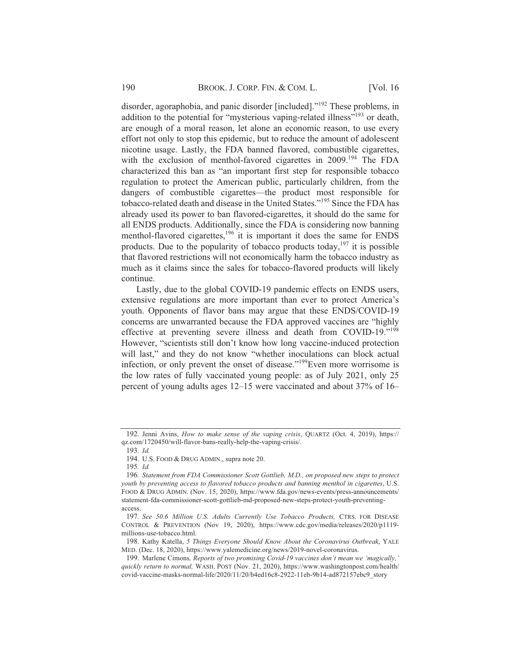disorder, agoraphobia, and panic disorder [included]."<sup>192</sup> These problems, in addition to the potential for "mysterious vaping-related illness"<sup>193</sup> or death, are enough of a moral reason, let alone an economic reason, to use every effort not only to stop this epidemic, but to reduce the amount of adolescent nicotine usage. Lastly, the FDA banned flavored, combustible cigarettes, with the exclusion of menthol-favored cigarettes in  $2009$ <sup>194</sup>. The FDA characterized this ban as "an important first step for responsible tobacco regulation to protect the American public, particularly children, from the dangers of combustible cigarettes—the product most responsible for tobacco-related death and disease in the United States."<sup>195</sup> Since the FDA has already used its power to ban flavored-cigarettes, it should do the same for all ENDS products. Additionally, since the FDA is considering now banning menthol-flavored cigarettes,<sup>196</sup> it is important it does the same for ENDS products. Due to the popularity of tobacco products today,  $197$  it is possible that flavored restrictions will not economically harm the tobacco industry as much as it claims since the sales for tobacco-flavored products will likely continue.

Lastly, due to the global COVID-19 pandemic effects on ENDS users, extensive regulations are more important than ever to protect America's youth. Opponents of flavor bans may argue that these ENDS/COVID-19 concerns are unwarranted because the FDA approved vaccines are "highly effective at preventing severe illness and death from COVID-19."<sup>198</sup> However, "scientists still don't know how long vaccine-induced protection will last," and they do not know "whether inoculations can block actual infection, or only prevent the onset of disease."<sup>199</sup>Even more worrisome is the low rates of fully vaccinated young people: as of July 2021, only 25 percent of young adults ages 12–15 were vaccinated and about 37% of 16–

<sup>192.</sup> Jenni Avins, *How to make sense of the vaping crisis*, *QUARTZ* (Oct. 4, 2019), https:// qz.com/1720450/will-flavor-bans-really-help-the-vaping-crisis/.

<sup>193.</sup> Id.

<sup>194.</sup> U.S. FOOD & DRUG ADMIN., supra note 20.

 $195.$  *Id.* 

<sup>196.</sup> Statement from FDA Commissioner Scott Gottlieb, M.D., on proposed new steps to protect youth by preventing access to flavored tobacco products and banning menthol in cigarettes, U.S. FOOD & DRUG ADMIN. (Nov. 15, 2020), https://www.fda.gov/news-events/press-announcements/ statement-fda-commissioner-scott-gottlieb-md-proposed-new-steps-protect-youth-preventingaccess.

<sup>197.</sup> See 50.6 Million U.S. Adults Currently Use Tobacco Products, CTRS. FOR DISEASE CONTROL & PREVENTION (Nov 19, 2020), https://www.cdc.gov/media/releases/2020/p1119millions-use-tobacco.html.

<sup>198.</sup> Kathy Katella, 5 Things Everyone Should Know About the Coronavirus Outbreak, YALE MED. (Dec. 18, 2020), https://www.yalemedicine.org/news/2019-novel-coronavirus.

<sup>199.</sup> Marlene Cimons, Reports of two promising Covid-19 vaccines don't mean we 'magically,' quickly return to normal, WASH. POST (Nov. 21, 2020), https://www.washingtonpost.com/health/ covid-vaccine-masks-normal-life/2020/11/20/b4ed16c8-2922-11eb-9b14-ad872157ebc9\_story